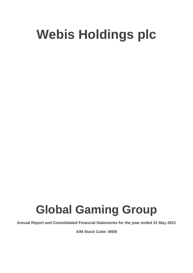# **Global Gaming Group**

**Annual Report and Consolidated Financial Statements for the year ended 31 May 2021**

**AIM Stock Code: WEB**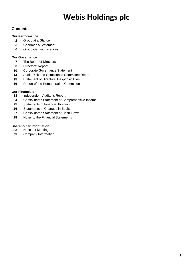## **Contents**

### **Our Performance**

- Group at a Glance
- Chairman's Statement
- Group Gaming Licences

### **Our Governance**

- The Board of Directors
- Directors' Report
- Corporate Governance Statement
- Audit, Risk and Compliance Committee Report
- Statement of Directors' Responsibilities
- Report of the Remuneration Committee

### **Our Financials**

- Independent Auditor's Report
- Consolidated Statement of Comprehensive Income
- Statements of Financial Position
- Statements of Changes in Equity
- Consolidated Statement of Cash Flows
- Notes to the Financial Statements

### **Shareholder Information**

- Notice of Meeting
- Company Information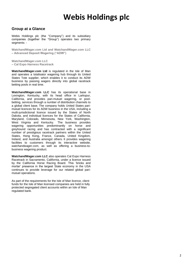### **Group at a Glance**

Webis Holdings plc (the "Company") and its subsidiary companies (together the "Group") operates two primary segments: -

**WatchandWager.com Ltd and WatchandWager.com LLC – Advanced Deposit Wagering ("ADW")**

**WatchandWager.com LLC – Cal Expo Harness Racetrack**

**WatchandWager.com Ltd** is regulated in the Isle of Man and operates a totalisator wagering hub through its United States Tote supplier, which enables it to conduct its ADW business by passing wagers directly into global racetrack betting pools in real time.

**WatchandWager.com LLC** has its operational base in Lexington, Kentucky, with its head office in Larkspur, California, and provides pari-mutuel wagering, or poolbetting, services through a number of distribution channels to a global client base. The company holds United States parimutuel licences for its ADW business in the USA, including a multi-jurisdictional licence issued by the States of North Dakota, and individual licences for the States of California, Maryland, Colorado, Minnesota, New York, Washington, West Virginia and Kentucky. The business provides wagering opportunities predominantly on horse and greyhound racing and has contracted with a significant number of prestigious racetrack partners within the United States, Hong Kong, France, Canada, United Kingdom, Ireland, and Australia amongst others. It provides wagering facilities to customers through its interactive website, *watchandwager.com*, as well as offering a business-tobusiness wagering product.

**WatchandWager.com LLC** also operates Cal Expo Harness Racetrack in Sacramento, California, under a licence issued by the California Horse Racing Board. This 'bricks and mortar' presence in the largest State economy in the USA continues to provide leverage for our related global parimutuel operations.

As part of the requirements for the Isle of Man licence, client funds for the Isle of Man licensed companies are held in fully protected segregated client accounts within an Isle of Man regulated bank.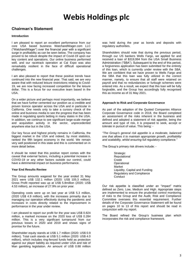## **Chairman's Statement**

#### **Introduction**

I am pleased to report an excellent performance from our core USA based business WatchandWager.com LLC ("WatchandWager") over the financial year with a significant surge in profitability as can be seen below. The company has proved to be robust despite the impact of Covid-19 upon our key content and operations. Our online business performed well, and our racetrack operation at Cal Expo was also remarkably resilient in the face of difficult operational challenges.

I am also pleased to report that these positive trends have continued into the new financial year. That said, we are very aware that with reduced leisure restrictions relating to Covid-19, we are now facing increased competition for the leisure dollar. This is a focus for our executive team based in the USA.

On a wider picture and perhaps most importantly, we believe that we have further cemented our position as a credible and proven licence operator across the USA and in particular in California. One needs only to take a cursory check of the online and business media to see the progress that has been made in regulating sports betting in many states in the USA. In addition, we continue to see significant large-scale merger and acquisition activity in the sector, unprecedented anywhere else but in the USA.

Our key focus and highest priority remains in California, the biggest market in the USA and indeed, by most statistics, ranked the fifth largest economy in the world. We remain very well positioned in this state and this is commented on in more detail below.

It should be noted that this positive report comes with the caveat that external factors, including a potential increase in COVID-19 or any other factors outside our control, could have a detrimental impact on business performance.

#### **Year End Results Review**

The Group amounts wagered for the year ended 31 May 2021 were US\$ 132.1 million (2020: US\$ 105.3 million). Gross Profit reported was up at US\$ 5.8million (2020: US\$ 4.53 million), an increase of 27.9% on prior year.

Operating costs were up on last year at US\$ 5.3 million, (2020 US\$ 4.9 million), with the increases primarily due to managing our operation effectively during the pandemic and increases in costs directly related to the improvement in performance in the year under review.

I am pleased to report our profit for the year was US\$ 0.824 million, a marked increase on the 2020 loss of US\$ 0.284 million. This is a very significant turnaround from our previous losses in 2020 and 2019 and shows signs of promise for the future.

Shareholder equity stands at US\$ 1.7 million (2020: US\$ 0.9 million). Total cash stands at US\$ 5.1 million (2020: US\$ 4.0 million), which includes ring-fenced funds held as protection against our player liability as required under USA and Isle of Man gambling legislation. An amount of US\$ 0.88 million was held during the year as bonds and deposits with regulatory authorities.

Shareholders should note that during the previous period, through our US bankers Wells Fargo, we applied for and received a loan of \$319,994 from the USA Small Business Administration ("SBA"). Subsequent to the end of this period, a forgiveness application has been submitted for the entirety of this loan, which is currently under review with the SBA. We are confident that we have proven to Wells Fargo and the SBA that this loan was fully utilized in the correct manner, namely, to ensure that all staff were retained on payroll and that no redundancies or furlough schemes were entered into. As a result, we expect that this loan will be fully forgivable, and the Group has accordingly fully recognised this as income as of 31 May 2021.

#### **Approach to Risk and Corporate Governance**

As part of the adoption of the Quoted Companies Alliance Corporate Governance code in 2018, the Board completed an assessment of the risks inherent in the business and defined and adopted a statement of risk appetite, being the amount and type of risk, it is prepared to seek, accept or tolerate in pursuit of value. This being: -

*"The Group's general risk appetite is a moderate, balanced one that allows it to maintain appropriate growth, profitability and scalability, whilst ensuring full regulatory compliance."*

The Group's primary risk drivers include: -

**Strategic** Reputational Credit **Operational** Market Liquidity, Capital and Funding Regulatory and Compliance **Conduct** 

Our risk appetite is classified under an "impact" matrix defined as Zero, Low, Medium and High. Appropriate steps are implemented to ensure the prudential control monitoring of risks to the Group and the Audit, Risk and Compliance Committee oversees this essential requirement. Further details of the Corporate Governance Statement will be found on pages 10 to 13 of this report and should be read in conjunction with my report.

The Board refined the Group's business plan which incorporates the risk and compliance framework.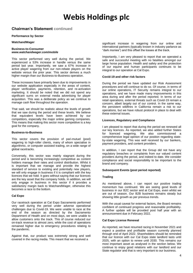### **Chairman's Statement continued**

#### **Performance by Sector**

#### **WatchandWager**

#### **Business-to-Consumer** *www.watchandwager.com***/***mobile*

This sector performed very well during the period. We experienced a 53% increase in handle versus the same period last year. Importantly, we saw a 67% increase in active player wagering from our non-rebate players on the website versus the prior year. This sector derives a much higher margin than our Business-to-Business operation.

These increases have primarily been due to improvements in our website application especially in the areas of content, player verification, payments, retention, and re-activation marketing. It should be noted that we did not spend any significant sums on external media advertising for player acquisition. This was a deliberate policy as we continue to manage cash flow throughout the operation.

That said, we should be realistic about the levels of growth that we saw during the period and these levels. We believe that equivalent levels have been achieved by our competitors, especially the major online gaming companies. This means that making this sector more competitive is a key goal for the company.

#### **Business-to-Business**

This sector covers the provision of pari-mutuel (pool) wagering to high-roller clients, many of whom specialise in algorithmic, or computer assisted trading, on a wide range of global racetracks.

Conversely, this sector was mainly stagnant during the period and is becoming increasingly competitive as content holders manage their rates and control distribution. Whilst it is important that we manage and provide the highest standard of service to existing and potentially new players, we will only engage in business if it is compliant with the key licences that we hold. It goes without saying that our licences are the key asset that the company holds. In addition, we will only engage in business in this sector if it provides a satisfactory margin back to WatchandWager, otherwise this becomes a race to the bottom.

#### **Cal Expo**

Our racetrack operation at Cal Expo Sacramento performed very well during the period under adverse operational challenges due to Covid-19. We were unable to race at the end of the season as directed by the Sacramento Department of Health and on most days, we were unable to allow customers onto the track. This of course reduced our on-track revenue to almost zero, while the cost of operations remained higher due to emergency procedures relating to the pandemic.

Against that, our product was extremely strong and well covered in the racing media. This meant that we received a

significant increase in wagering from our online and international partners (typically known in industry parlance as "dark monies") and this offset the losses at the track.

Importantly, I am very pleased to report that we operated a safe and successful meeting with no fatalities amongst our large horse population. Health and safety and the protection of our equine and human participants continues to be integral to our operation at Cal Expo.

#### **Covid-19 and other risk factors**

During the period we have updated our Risk Assessment procedures and will continue to do so. Of course, in terms of our online operations, IT Security remains integral to our operations, and we have made many improvements in this area during and after the period reported. In terms of our retail operations, external threats such as Covid-19 remain a concern, albeit largely out of our control. In the same way, the persistent wildfires in California remain a risk to our operations, but we have robust protocol in place to deal with these external issues.

#### **Licences, Regulatory and Compliance**

I am pleased to report that during the period we renewed all our key licences. As reported, we also added further States for licenced wagering. We also commissioned a comprehensive legal opinion of our position regarding stateby-state wagering. This was well received by our bankers, payment providers, and content providers.

In addition, I can report that the Group did not have any regulatory breaches or complaints from our valued content providers during the period, and indeed to date. We consider compliance and social responsibility to be important to the brand and company.

#### **Subsequent Events (post period reported)**

#### **Trading**

As mentioned above, I can report our positive trading momentum has continued. We are seeing good levels of business in our B2C sector and at Cal Expo, even whilst we are out of season. Our B2B business remains steady but showing little growth as per previous trends.

With the usual caveat for external factors, the Board remains confident of continued progress and reasonable profitability. A further update will be provided post half year with an announcement due in February 2022.

#### **Cal Expo License Renewal**

As reported, we have resumed racing in November 2021 and expect a positive and profitable season currently planned through end of April 2022. Shareholders should be reminded that our licence with our Cal Expo state landlord lasts until 2025, with an option to renew until 2030. This remains our most important asset as analysed in the section below. We continue to enjoy good relations with our landlord and our State regulator and that is very important to our business.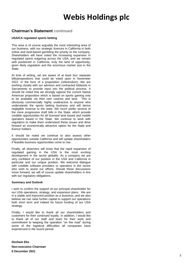## **Chairman's Statement continued**

#### **USA/CA regulated sports betting**

This area is of course arguably the most interesting area of our business, with our strategic licences in California in both online and land-based gambling the priority to the company. Shareholders will have noted the increasing expansion in regulated sports wagering across the USA, and we remain well positioned in California, truly the land of opportunity, given likely regulation and the enormous market size in the State.

At time of writing, we are aware of at least four separate bills/propositions that could be voted upon in November 2022, in the form of a proposition (referendum). We are working closely with our advisors and contracted lobbyists in Sacramento to provide input into the political process. It should be noted that we strongly oppose the current Native American proposition which is based on sports gaming only to be available via their own casinos and land. This is obviously commercially highly unattractive to anyone who understands the sports betting business and will derive negligible revenue to the state. We much prefer several of the more progressive draft bills in the State, which provide credible opportunities for all licensed land based and mobile operators based in the State. We continue to work with regulators to make them understand these issues and drive forward an economically attractive option for the State and licence holders.

It should be noted we continue to also assess other opportunities outside California and will update shareholders if feasible business opportunities come to rise.

Finally, all observers will know that the rapid expansion of regulated gaming in the USA is the most exciting development in the sector globally. As a company we are very confident of our position in the USA and California in particular and our unique position. We welcome dialogue with credible software providers or operators in the sector who wish to assist our efforts. Should these discussions move forward, we will of course update shareholders in line with our regulatory obligations.

#### **Summary and Outlook**

I wish to confirm the support of our principal shareholder for our USA operations, strategy, and expansion plans. We are in a stable and improved position as a business, and we also believe we can raise further capital to support our operations both short term and indeed for future funding of our USA strategy.

Finally, I would like to thank all our shareholders and customers for their continued loyalty. In addition, I would like to thank all of our staff and team for their work and commitment to keeping the operation "on the road" during some of the logistical difficulties all companies have experienced in the recent period.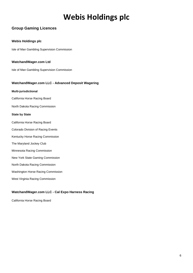## **Group Gaming Licences**

### **Webis Holdings plc**

Isle of Man Gambling Supervision Commission

#### **WatchandWager.com Ltd**

Isle of Man Gambling Supervision Commission

### **WatchandWager.com LLC - Advanced Deposit Wagering**

#### **Multi-jurisdictional**

California Horse Racing Board

North Dakota Racing Commission

#### **State by State**

- California Horse Racing Board
- Colorado Division of Racing Events
- Kentucky Horse Racing Commission
- The Maryland Jockey Club
- Minnesota Racing Commission
- New York State Gaming Commission
- North Dakota Racing Commission
- Washington Horse Racing Commission
- West Virginia Racing Commission

### **WatchandWager.com LLC - Cal Expo Harness Racing**

California Horse Racing Board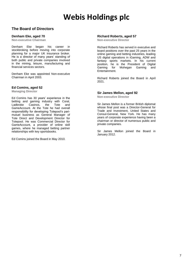### **The Board of Directors**

#### **Denham Eke, aged 70**

**Non-executive Chairman**

Denham Eke began his career in stockbroking before moving into corporate planning for a major UK insurance broker. He is a director of many years' standing of both public and private companies involved in the mining, leisure, manufacturing and financial services sectors.

Denham Eke was appointed Non-executive Chairman in April 2003.

### **Ed Comins, aged 52**

**Managing Director**

Ed Comins has 30 years' experience in the betting and gaming industry with Coral,<br>Ladbroke Casinos, the Tote and Ladbroke Casinos, the Tote and GameAccount. At the Tote he had overall responsibility for developing Totepool's parimutuel business as General Manager of Tote Direct and Development Director for Totepool. He was Commercial Director for GameAccount, a provider of online skill games, where he managed betting partner relationships with key sportsbooks.

Ed Comins joined the Board in May 2010.

### **Richard Roberts, aged 57**

**Non-executive Director**

Richard Roberts has served in executive and board positions over the past 25 years in the online gaming and betting industries, leading US digital operations in iGaming, ADW and fantasy sports markets. In his current position, he is the President of Digital Gaming for Mohegan Gaming and Entertainment.

Richard Roberts joined the Board in April 2021.

#### **Sir James Mellon, aged 92**

**Non-executive Director**

Sir James Mellon is a former British diplomat whose final post was a Director-General for Trade and Investment, United States and Consul-General, New York. He has many years of corporate experience having been a chairman or director of numerous public and private companies.

Sir James Mellon joined the Board in January 2012.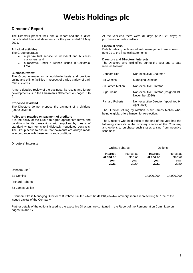## **Directors' Report**

The Directors present their annual report and the audited consolidated financial statements for the year ended 31 May 2021.

#### **Principal activities**

The Group operates:

- a pari-mutuel service to individual and business customers; and
- a racetrack under a licence issued in California, USA.

#### **Business review**

The Group operates on a worldwide basis and provides online and offline facilities in respect of a wide variety of parimutuel events.

A more detailed review of the business, its results and future developments is in the Chairman's Statement on pages 3 to 5.

#### **Proposed dividend**

The Directors do not propose the payment of a dividend (2020: US\$Nil).

#### **Policy and practice on payment of creditors**

It is the policy of the Group to agree appropriate terms and conditions for its transactions with suppliers by means of standard written terms to individually negotiated contracts. The Group seeks to ensure that payments are always made in accordance with these terms and conditions.

#### At the year-end there were 31 days (2020: 26 days) of purchases in trade creditors.

#### **Financial risks**

Details relating to financial risk management are shown in note 21 to the financial statements.

#### **Directors and Directors' interests**

The Directors who held office during the year and to date were as follows:

| Denham Eke             | Non-executive Chairman                                |
|------------------------|-------------------------------------------------------|
| <b>Ed Comins</b>       | <b>Managing Director</b>                              |
| Sir James Mellon       | Non-executive Director                                |
| Nigel Caine            | Non-executive Director (resigned 19<br>November 2020) |
| <b>Richard Roberts</b> | Non-executive Director (appointed 9<br>April 2021)    |

The Director retiring by rotation is Sir James Mellon who, being eligible, offers himself for re-election.

The Directors who held office at the end of the year had the following interests in the ordinary shares of the Company and options to purchase such shares arising from incentive schemes:

#### **Directors' interests**

|                         |                                              | Ordinary shares                         |                                              | Options                                 |  |
|-------------------------|----------------------------------------------|-----------------------------------------|----------------------------------------------|-----------------------------------------|--|
|                         | <b>Interest</b><br>at end of<br>year<br>2021 | Interest at<br>start of<br>year<br>2020 | <b>Interest</b><br>at end of<br>year<br>2021 | Interest at<br>start of<br>year<br>2020 |  |
| Denham Eke <sup>1</sup> |                                              |                                         |                                              |                                         |  |
| Ed Comins               |                                              | —                                       | 14,000,000                                   | 14,000,000                              |  |
| <b>Richard Roberts</b>  |                                              |                                         |                                              |                                         |  |
| Sir James Mellon        |                                              |                                         |                                              |                                         |  |

<sup>1</sup> Denham Eke is Managing Director of Burnbrae Limited which holds 248,204,442 ordinary shares representing 63.10% of the issued capital of the Company.

Further details of the options issued to the executive Directors are contained in the Report of the Remuneration Committee on pages 16 and 17.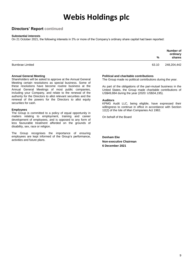### **Directors' Report continued**

#### **Substantial interests**

On 21 October 2021, the following interests in 3% or more of the Company's ordinary share capital had been reported:

|                         | %     | Number of<br>ordinary<br>shares |
|-------------------------|-------|---------------------------------|
| <b>Burnbrae Limited</b> | 63.10 | 248,204,442                     |

#### **Annual General Meeting**

Shareholders will be asked to approve at the Annual General Meeting certain resolutions as special business. Some of these resolutions have become routine business at the Annual General Meetings of most public companies, including your Company, and relate to the renewal of the authority for the Directors to allot relevant securities and the renewal of the powers for the Directors to allot equity securities for cash.

#### **Employees**

The Group is committed to a policy of equal opportunity in matters relating to employment, training and career development of employees, and is opposed to any form of less favourable treatment afforded on the grounds of disability, sex, race or religion.

The Group recognises the importance of ensuring employees are kept informed of the Group's performance, activities and future plans.

#### **Political and charitable contributions**

The Group made no political contributions during the year.

As part of the obligations of the pari-mutuel business in the United States, the Group made charitable contributions of US\$49,884 during the year (2020: US\$34,195).

#### **Auditors**

KPMG Audit LLC, being eligible, have expressed their willingness to continue in office in accordance with Section 12(2) of the Isle of Man Companies Act 1982.

On behalf of the Board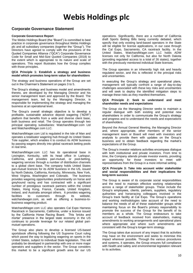### **Corporate Governance Statement**

#### **Corporate Governance Report**

The Webis Holdings Board (the "Board") is committed to best practice in corporate governance throughout Webis Holdings plc and all subsidiary companies (together the "Group"). The Directors have agreed to comply with the provisions of the Quoted Companies Alliance ("QCA") Corporate Governance Code for Small and Mid-Size Quoted Companies (2018) to the extent which is appropriate to its nature and scale of operations. This report illustrates how the Group complies with those principles.

#### **QCA Principle 1: Establish a strategy and business model which promotes long-term value for shareholders**

The strategy and business operations of the Group are set out in the Chairman's Statement on pages 3 to 5.

The Group's strategy and business model and amendments thereto, are developed by the Managing Director and his senior management team and approved by the Board. The management team, led by the Managing Director, is responsible for implementing the strategy and managing the business at an operational level.

The Group's overall strategic objective is to develop a profitable, sustainable advance deposit wagering ("ADW") platform that benefits from a wide and diverse client base, both business and retail. The Group operates through two principal operating subsidiaries: WatchandWager.com Ltd and WatchandWager.com LLC.

WatchandWager.com Ltd is regulated in the Isle of Man and operates a totalisator wagering hub through its United States Tote supplier, which enables it to conduct its ADW business by passing wagers directly into global racetrack betting pools in real time.

WatchandWager.com LLC has its operational base in Lexington, Kentucky, with its head office in Larkspur, California, and provides pari-mutuel, or pool-betting, wagering services through a number of distribution channels to a global client base. The company holds United States pari-mutuel licences for its ADW business in the US, issued by North Dakota, California, Kentucky, Minnesota, New York, West Virginia, Washington and Colorado. The business provides wagering opportunities predominantly on horse and greyhound racing and has contracted with a significant number of prestigious racetrack partners within the United States, Hong Kong, France, Canada, United Kingdom, Ireland, and Australia amongst others. It provides wagering facilities to customers through its website. watchandwager.com, as well as offering a business-tobusiness wagering product.

WatchandWager.com LLC also operates Cal Expo Harness Racetrack in Sacramento, California, under a licence issued by the California Horse Racing Board. This 'bricks and mortar' presence in the largest state economy in the US continues to provide leverage for our related global parimutuel operations.

The Group also plans to develop a licensed US-based sportsbook offering following the US Supreme Court ruling which paved the way to legalizing wagering on sports in the United States, subject to individual State legislation. This will probably be developed in partnership with one or more major operators and suppliers in the sector. The Group considers this market to be a significant growth area for our US operations. Significantly, there are a number of California draft Sports Betting Bills being currently debated, which specify that only existing land-based operators in the State will be eligible for license applications, in our case through the Cal Expo, Sacramento, CA racetrack facility. In the United States, WatchandWager.com LLC holds ADW licenses not only for California, but also for North Dakota (providing regulated access to a total of 26 states), together with the previously mentioned individual State licenses.

The Group operates in an inherently high risk and heavily regulated sector, and this is reflected in the principal risks and uncertainties.

In executing the Group's strategy and operational plans, management will typically confront a range of day-to-day challenges associated with these key risks and uncertainties and will seek to deploy the identified mitigation steps to manage these risks as they manifest themselves.

#### **QCA Principle 2: Seek to understand and meet shareholder needs and expectations**

The Group via the Managing Director seeks to maintain a regular dialogue with both existing and potential new shareholders in order to communicate the Group's strategy and progress and to understand the needs and expectations of shareholders.

Beyond the Annual General Meeting, the Managing Director and, where appropriate, other members of the senior management team or Board will meet with investors and analysts to provide them with updates on the Group's business and to obtain feedback regarding the market's expectations of the Group.

The Group's investor relations activities encompass dialogue with both institutional and private investors. From time to time, the Company attends private investor events, providing an opportunity for those investors to meet with representatives from the Group in a more informal setting.

#### **QCA Principle 3: Take into account wider stakeholder and social responsibilities and their implications for long-term success**

The Group is aware of its corporate social responsibilities and the need to maintain effective working relationships across a range of stakeholder groups. These include the Group's employees, clients, partners, suppliers, regulatory authorities and horseracing colleagues involved in the Group's track facility at Cal Expo. The Group's operations and working methodologies take account of the need to balance the needs of all of these stakeholder groups while maintaining focus on the Board's primary responsibility to promote the success of the Group for the benefit of its members as a whole. The Group endeavours to take account of feedback received from stakeholders, making amendments to working arrangements and operational plans where appropriate and where such amendments are consistent with the Group's longer-term strategy.

The Group takes due account of any impact that its activities may have on the environment and seeks to minimise this impact wherever possible. Through the various procedures and systems, it operates, the Group ensures full compliance with health and safety and environmental legislation relevant to its activities.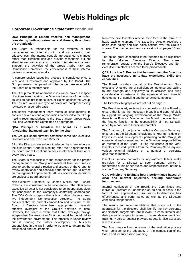### **Corporate Governance Statement continued**

#### **QCA Principle 4: Embed effective risk management, considering both opportunities and threats, throughout the organisation**

The Board is responsible for the systems of risk management and internal control and for reviewing their effectiveness. The internal controls are designed to manage rather than eliminate risk and provide reasonable but not absolute assurance against material misstatement or loss. Through the activities of the Group Audit, Risk and Compliance Committee, the effectiveness of these internal controls is reviewed annually.

A comprehensive budgeting process is completed once a year and is reviewed and approved by the Board. The Group's results, compared with the budget, are reported to the Board on a monthly basis.

The Group maintains appropriate insurance cover in respect of actions taken against the Directors because of their roles, as well as against material loss or claims against the Group. The insured values and type of cover are comprehensively reviewed on a periodic basis.

The senior management team meets at least monthly to consider new risks and opportunities presented to the Group, making recommendations to the Board and/or Group Audit, Risk and Compliance Committee as appropriate.

#### **QCA Principle 5: Maintain the board as a wellfunctioning, balanced team led by the chair**

The Group's Board currently comprises three Non-executive Directors and one Executive Director.

All of the Directors are subject to election by shareholders at the first Annual General Meeting after their appointment to the Board and will continue to seek re-election at least once every three years.

The Board is responsible to the shareholders for the proper management of the Group and meets at least four times a year to set the overall direction and strategy of the Group, to review operational and financial performance and to advise on management appointments. All key operational decisions are subject to Board approval.

Non-executive Directors, Sir James Mellon and Richard Roberts, are considered to be independent. The other Nonexecutive Director is not considered to be independent given his connection to the Company's controlling shareholder. The QCA Code suggests that a board should have at least two independent Non-executive Directors. The Board considers that the current composition and structure of the Board of Directors have been appropriate to maintain effective oversight of the Group's activities to date. However, the Board is aware that further oversight through independent Non-executive Directors could be beneficial to the governance environment. This process is under review and is pending the further development of business opportunities in the US in order to be able to determine the exact need and requirements.

Non-executive Directors receive their fees in the form of a basic cash emolument. The Executive Director receives a basic cash salary and also holds options over the Group's shares. The number and terms are set out on pages 16 and 17.

The option grant concerned is not deemed to be significant for the individual Executive Director. The current remuneration structure for the Board's Executive and Nonexecutive Directors is deemed to be proportionate.

#### **QCA Principle 6: Ensure that between them the Directors have the necessary up-to-date experience, skills and capabilities**

The Board considers that all of the Executive and Nonexecutive Directors are of sufficient competence and calibre to add strength and objectivity to its activities and bring considerable experience in the operational and financial development of gambling and horseracing companies.

The Directors' biographies are set out on page 7.

The Board regularly reviews the composition of the Board to ensure that it has the necessary breadth and depth of skills to support the ongoing development of the Group. Whilst there is no Finance Director on the Board, the overview of the finance function is the responsibility of Piotr Schabik, aided by a non-Board Financial Controller.

The Chairman, in conjunction with the Company Secretary, ensures that the Directors' knowledge is kept up to date on key issues and developments pertaining to the Group, its operational environment and to the Directors' responsibilities as members of the Board. During the course of the year, Directors received updates from the Company Secretary and various external advisers on a number of corporate governance matters.

Directors' service contracts or appointment letters make provision for a Director to seek personal advice in furtherance of his or her duties and responsibilities, normally via the Company Secretary.

#### **QCA Principle 7: Evaluate board performance based on clear and relevant objectives, seeking continuous improvement**

Internal evaluation of the Board, the Committees and individual Directors is undertaken on an annual basis in the form of peer appraisal and discussions to determine their effectiveness and performance as well as the Directors' continued independence.

The results and recommendations that come out of the appraisals for the directors shall identify the key corporate and financial targets that are relevant to each Director and their personal targets in terms of career development and training. Progress against previous targets is also assessed where relevant.

The Board may utilise the results of the evaluation process when considering the adequacy of the composition of the Board and for succession planning.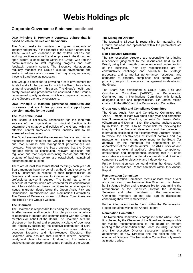### **Corporate Governance Statement continued**

#### **QCA Principle 8: Promote a corporate culture that is based on ethical values and behaviours**

The Board seeks to maintain the highest standards of integrity and probity in the conduct of the Group's operations. These values are enshrined in the written policies and working practices adopted by all employees in the Group. An open culture is encouraged within the Group, with regular communications to staff regarding progress and staff feedback regularly sought. The Executive Management regularly monitors the Group's cultural environment and seeks to address any concerns that may arise, escalating these to Board level as necessary.

The Group is committed to providing a safe environment for its staff and all other parties for which the Group has a legal or moral responsibility in this area. The Group's health and safety policies and procedures are enshrined in the Group's documented quality systems, which encompass all aspects of the Group's day-to-day operations.

#### **QCA Principle 9: Maintain governance structures and processes that are fit for purpose and support good decision- making by the board**

#### **The Role of the Board**

The Board is collectively responsible for the long-term success of the organisation. Its principal function is to determine the strategy and policies of the Group within an effective control framework which enables risk to be assessed and managed.

The Board ensures that the necessary financial and human resources are in place for the Group to meet its objectives and that business and management performances are reviewed. Furthermore, the Board ensures that the Group operates within its constitution, relevant legislation and regulation and that proper accounting records and effective systems of business control are established, maintained, documented and audited.

There are at least four formal Board meetings each year. All Board members have the benefit, at the Group's expense, of liability insurance in respect of their responsibilities as Directors and have access to independent legal or other professional advice if required. The Board has a formal schedule of matters which are reserved for its consideration and it has established three committees to consider specific issues in greater detail, being the Group Audit, Risk and Compliance, Remuneration and Nomination Committees. The Terms of Reference for each of these Committees are published on the Group's website.

#### **The Chairman**

The Chairman is responsible for leading the Board, ensuring its effectiveness in all aspects of its role, promoting a culture of openness of debate and communicating with the Group's members on behalf of the Board. The Chairman sets the direction of the Board and promotes a culture of openness and debate by facilitating the effective contribution of Nonexecutive Directors and ensuring constructive relations between Executive and Non-executive Directors. The Chairman also ensures that Directors receive accurate, timely and clear information. In doing so, this fosters a positive corporate governance culture throughout the Group.

#### **The Managing Director**

The Managing Director is responsible for managing the Group's business and operations within the parameters set by the Board.

#### **Non-executive Directors**

The Non-executive Directors are responsible for bringing independent judgement to the discussions held by the Board, using their breadth of experience and understanding of the business. Their key responsibilities are to constructively challenge and contribute to strategic proposals, and to monitor performance, resources, and standards of conduct, compliance and control, whilst providing support to executive management in developing the Group.

The Board has established a Group Audit, Risk and Compliance Committee ("ARCC"), a Remuneration Committee and a Nominations Committee with formally delegated duties and responsibilities. Sir James Mellon chairs both the ARCC and the Remuneration Committee.

#### **Group Audit, Risk and Compliance Committee**

The Group Audit, Risk and Compliance Committee (the "ARCC") meets at least two times each year and comprises two Non-executive Directors, currently Sir James Mellon (Chairman) and Denham Eke. The external auditors attend by invitation. Its role is to be responsible for reviewing the integrity of the financial statements and the balance of information disclosed in the accompanying Directors' Report, to review the effectiveness of internal controls and risk management systems and recommend to the Board (for approval by the members) the appointment or reappointment of the external auditor. The ARCC reviews and monitors the external auditor's objectivity, competence, effectiveness and independence, ensuring that if it or its associates are invited to undertake non-audit work it will not compromise auditor objectivity and independence.

Further information can be found within the Group Audit, Risk and Compliance Report contained within this Annual Report.

#### **Remuneration Committee**

The Remuneration Committee meets at least twice a year and comprises of two Non-executive Directors. It is chaired by Sir James Mellon and is responsible for determining the remuneration of the Executive Director, the Company Secretary and other members of the management. Committee members do not take part in discussions concerning their own remuneration.

Further information can be found within the Remuneration Report contained within this Annual Report.

#### **Nomination Committee**

The Nomination Committee is comprised of the whole Board. It is chaired by the Chairman of the Board and is responsible for making recommendations to the Board on matters relating to the composition of the Board, including Executive and Non-executive Director succession planning, the appointment of new Directors and the election and reelection of Directors. The Nomination Committee only meets as matters arise.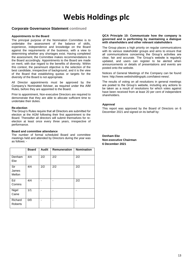### **Corporate Governance Statement continued**

#### **Appointments to the Board**

The principal purpose of the Nomination Committee is to undertake the assessment of the balance of skills, experience, independence and knowledge on the Board against the requirements of the business, with a view to determining whether any shortages exist. Having completed the assessment, the Committee makes recommendations to the Board accordingly. Appointments to the Board are made on merit, with due regard to the benefits of diversity. Within this context, the paramount objective is the selection of the best candidate, irrespective of background, and it is the view of the Board that establishing quotas or targets for the diversity of the Board is not appropriate.

All Director appointments must be approved by the Company's Nominated Adviser, as required under the AIM Rules, before they are appointed to the Board.

Prior to appointment, Non-executive Directors are required to demonstrate that they are able to allocate sufficient time to undertake their duties.

#### **Re-election**

The Group's Rules require that all Directors are submitted for election at the AGM following their first appointment to the Board. Thereafter all directors will submit themselves for reelection at least once every three years, irrespective of performance.

#### **Board and committee attendance**

The number of formal scheduled Board and committee meetings held and attended by Directors during the year was as follows: -

|                           | <b>Board</b> | <b>Audit</b> | <b>Remuneration</b> | <b>Nomination</b> |
|---------------------------|--------------|--------------|---------------------|-------------------|
| Denham<br>Eke             | 4/4          | 2/2          | 2/2                 | 2/2               |
| Sir<br>James<br>Mellon    | 4/4          | 2/2          | 2/2                 | 2/2               |
| Ed<br>Comins              | 4/4          |              |                     | 2/2               |
| Nigel<br>Caine            | 1/1          |              |                     |                   |
| Richard<br><b>Roberts</b> | 0/0          |              |                     |                   |

#### **QCA Principle 10: Communicate how the company is governed and is performing by maintaining a dialogue with shareholders and other relevant stakeholders**

The Group places a high priority on regular communications with its various stakeholder groups and aims to ensure that all communications concerning the Group's activities are clear, fair and accurate. The Group's website is regularly updated, and users can register to be alerted when announcements or details of presentations and events are posted onto the website.

Notices of General Meetings of the Company can be found here: http://www.webisholdingsplc.com/latest-news/.

The results of voting on all resolutions in general meetings are posted to the Group's website, including any actions to be taken as a result of resolutions for which votes against have been received from at least 20 per cent of independent shareholders.

#### **Approval**

This report was approved by the Board of Directors on 6 December 2021 and signed on its behalf by: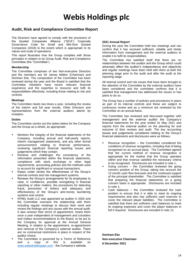### **Audit, Risk and Compliance Committee Report**

The Directors have agreed to comply with the provisions of the Quoted Companies Alliance ("QCA") Corporate Governance Code for Small and Mid-Size Quoted Companies (2018) to the extent which is appropriate to its nature and scale of operations.

This report illustrates how the Group complies with those principles in relation to its Group Audit, Risk and Compliance Committee (the "Committee").

#### **Membership**

The Committee comprises of two Non-executive Directors and the members are Sir James Mellon (Chairman) and Denham Eke. The composition of the Committee has been reviewed during the year and the Board is satisfied that the Committee members have recent relevant financial experience and the expertise to resource and fulfil its responsibilities effectively, including those relating to risk and controls.

#### **Meetings**

The Committee meets two times a year, including the review of the interim and full year results. Other Directors and representatives from the external auditors attend by invitation.

#### **Duties**

The Committee carries out the duties below for the Company and the Group as a whole, as appropriate:

- Monitors the integrity of the financial statements of the Company, including annual and half-yearly reports, interim management statements, and any other formal announcement relating to financial performance, reviewing significant financial reporting issues and judgements which they contain.
- Reviews and challenges the consistency of the information presented within the financial statements, compliance with stock exchange or other legal requirements, accounting policies and the methods used to account for significant or unusual transactions.
- Keeps under review the effectiveness of the Group's internal controls and risk management systems.
- Reviews the Group's arrangements for its employees to raise, in confidence, possible wrongdoing in financial reporting or other matters, the procedures for detecting fraud, prevention of bribery and adequacy and effectiveness of the Group's anti-money laundering systems and control.
- KPMG Audit LLC was appointed as auditor in 2002 and the Committee oversees the relationship with them including regular meetings to discuss their remit and review the findings and any issues with the annual audit. It also reviews their terms of appointment, meets them once a year independent of management and considers and makes recommendations to the Board, to be put to the Company for approval at the Annual General Meeting, in relation to the appointment, re-appointment and removal of the Company's external auditor. There are no contractual restrictions in place in respect of the auditor choice.
- The Committee is governed by a Terms of Reference and a copy of this is available on [www.webisholdingsplc.com](http://www.webisholdingsplc.com/) - the Company's website.

#### **2021 Annual Report**

During the year the Committee held two meetings and can confirm that it has received sufficient, reliable and timely information from management and the external auditors to enable it to fulfil its responsibilities.

The Committee has satisfied itself that there are no relationships between the auditor and the Group which could adversely affect the auditor's independence and objectivity and regular meetings have been held with them at both the planning stage prior to the audit and after the audit at the reporting stage.

All internal control and risk issues that have been brought to the attention of the Committee by the external auditors have been considered and the committee confirms that it is satisfied that management has addressed the issues or has plans to do so.

The Group has a number of policies and procedures in place as part of its internal controls and these are subject to continuous review and as a minimum are reviewed by the Committee on an annual basis.

The Committee has reviewed and discussed together with management and the external auditor the Company's financial statements for the year ended 31 May 2021 and reports from the external auditor on the planning for and outcome of their reviews and audit. The key accounting issues and judgements considered relating to the Group's financial statements and disclosures were as follows:

- Revenue recognition  $-$  the Committee considered the conditions of revenue recognition, including that of being recognised on an accrual basis. The Committee agreed that the current method of revenue recognition is appropriate for the market that the Group operates within and that revenue satisfied the necessary criteria to be recognised. Disclosures are included in note 1;
- Going concern  $-$  the Committee reviewed the going concern position of the Group, taking into account the 12-month cash flow forecasts and the continued support of the principal shareholder. The Committee is satisfied that preparing the financial statements on a going concern basis is appropriate. Disclosures are included in note 1;
- Cash balances  $-$  the Committee reviewed the cash position to ensure that it is able to meet its ongoing requirements and also has sufficient cash reserves to cover the relevant player liabilities. The Committee is satisfied that there are sufficient cash balances to meet its ongoing expenses and cover the player balances in full if required. Disclosures are included in note 12.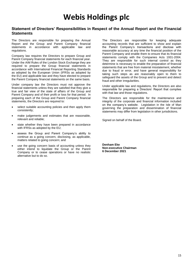### **Statement of Directors' Responsibilities in Respect of the Annual Report and the Financial Statements**

The Directors are responsible for preparing the Annual Report and the Group and Parent Company financial statements in accordance with applicable law and regulations.

Company law requires the Directors to prepare Group and Parent Company financial statements for each financial year. Under the AIM Rules of the London Stock Exchange they are required to prepare the Group financial statements in accordance with International Financial Reporting Standards as adopted by the European Union (IFRSs as adopted by the EU) and applicable law and they have elected to prepare the Parent Company financial statements on the same basis.

Under company law the Directors must not approve the financial statements unless they are satisfied that they give a true and fair view of the state of affairs of the Group and Parent Company and of their profit or loss for that period. In preparing each of the Group and Parent Company financial statements, the Directors are required to:

- select suitable accounting policies and then apply them consistently;
- make judgements and estimates that are reasonable. relevant and reliable;
- state whether they have been prepared in accordance with IFRSs as adopted by the EU;
- assess the Group and Parent Company's ability to continue as a going concern, disclosing, as applicable, matters related to going concern; and
- use the going concern basis of accounting unless they either intend to liquidate the Group or the Parent Company or to cease operations or have no realistic alternative but to do so.

The Directors are responsible for keeping adequate accounting records that are sufficient to show and explain the Parent Company's transactions and disclose with reasonable accuracy at any time the financial position of the Parent Company and enable them to ensure that its financial statements comply with the Companies Acts 1931-2004. They are responsible for such internal control as they determine is necessary to enable the preparation of financial statements that are free from material misstatement, whether due to fraud or error, and have general responsibility for taking such steps as are reasonably open to them to safeguard the assets of the Group and to prevent and detect fraud and other irregularities.

Under applicable law and regulations, the Directors are also responsible for preparing a Directors' Report that complies with that law and those regulations.

The Directors are responsible for the maintenance and integrity of the corporate and financial information included on the company's website. Legislation in the Isle of Man governing the preparation and dissemination of financial statements may differ from legislation in other jurisdictions.

Signed on behalf of the Board.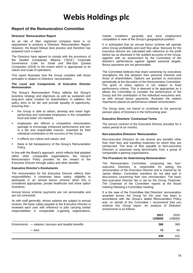### **Report of the Remuneration Committee**

#### **Directors' Remuneration Report**

As an Isle of Man registered company there is no requirement to produce a Directors' Remuneration Report. However, the Board follows best practice and therefore has prepared such a report.

The Directors have agreed to comply with the provisions of the Quoted Companies Alliance ("QCA") Corporate Governance Code for Small and Mid-Size Quoted Companies (2018) to the extent which is appropriate to its nature and scale of operations.

This report illustrates how the Group complies with those principles in relation to Directors' remuneration.

#### **The Level and Components of Executive Director Remuneration**

The Group's Remuneration Policy reflects the Group's business strategy and objectives as well as sustained and long-term value creation for shareholders. In addition, the policy aims to be fair and provide equality of opportunity, ensuring that: -

- the Group is able to attract, develop and retain highperforming and motivated employees in the competitive local and wider US markets;
- employees are offered a competitive remuneration package to encourage enhanced performance and are, in a fair and responsible manner, rewarded for their individual contribution to the success of the Group;
- it reflects our culture and values; and
- there is full transparency of the Group's Remuneration Policy.

In line with the Board's approach, which reflects that adopted within other comparable organisations, the Group's Remuneration Policy provides for the reward of the Executive Director through salary and other benefits.

#### **Executive Director's Emoluments**

The remuneration for the Executive Director reflects their responsibilities. It comprises basic salary, eligibility to participate in an annual bonus scheme when this is considered appropriate, private healthcare and share option incentives.

Annual bonus scheme payments are not pensionable and are not contracted.

As with staff generally, whose salaries are subject to annual reviews, the basic salary payable to the Executive Director is reviewed each year with reference to jobs carrying similar responsibilities in comparable e-gaming organisations,

market conditions generally and local employment competition in view of the Group's geographical position.

It is anticipated that an annual bonus scheme will operate when Group profitability and cash flow allow. Bonuses for the executive director are calculated with reference to the profit before tax as disclosed in the audited accounts of the Group, together with an assessment by the Committee of the director's performance against agreed personal targets. Bonus payments are not pensionable.

The Committee believes that share ownership by executives strengthens the link between their personal interests and those of shareholders. Options are granted to executives periodically at the discretion of the Remuneration Committee. The grant of share options is not subject to fixed performance criteria. This is deemed to be appropriate as it allows the Committee to consider the performance of the Group and the contribution of the individual executives and, as with annual bonus payments, illustrates the relative importance placed on performance-related remuneration.

The Group does not intend to contribute to the personal pension plans of Directors in the forthcoming year.

#### **Executive Directors' Contractual Terms**

The service contract of the Executive Director provides for a notice period of six months.

#### **Non-executive Directors' Remuneration**

Non-executive Directors do not receive any benefits other than their fees and travelling expenses for which they are reimbursed. The level of fees payable to Non-executive Directors is assessed using benchmarks from a group of comparable e-gaming organisations.

#### **The Procedure for Determining Remuneration**

The Remuneration Committee, comprising two Nonexecutive Directors, is responsible for setting the remuneration of the Executive Director and is chaired by Sir James Mellon. Committee members do not take part in discussions concerning their own remuneration. The basic Non-executive Director fee is set by the Group Chairman. The Chairman of the Committee reports at the Board meeting following a Committee meeting.

It is the view of the Committee that Directors' remuneration awarded across the Group for the year has been in accordance with the Group's stated Remuneration Policy and, on behalf of the Committee I recommend that you endorse this Group report. An analysis of Directors' emoluments is as follows:

|                                                     | 2021<br><b>US\$000</b> | 2020<br><b>US\$000</b> |
|-----------------------------------------------------|------------------------|------------------------|
| Emoluments - salaries, bonuses and taxable benefits | 366                    | 368                    |
| — fees                                              | 73                     | 64                     |
|                                                     | 439                    | 432                    |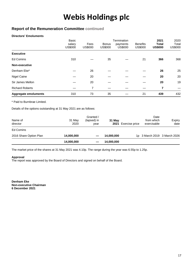## **Report of the Remuneration Committee continued**

#### **Directors' Emoluments**

|                             | <b>Basic</b><br>salary<br>US\$000 | Fees<br><b>US\$000</b> | <b>Bonus</b><br>US\$000 | Termination<br>payments<br><b>US\$000</b> | <b>Benefits</b><br><b>US\$000</b> | 2021<br><b>Total</b><br><b>US\$000</b> | 2020<br>Total<br><b>US\$000</b> |
|-----------------------------|-----------------------------------|------------------------|-------------------------|-------------------------------------------|-----------------------------------|----------------------------------------|---------------------------------|
| <b>Executive</b>            |                                   |                        |                         |                                           |                                   |                                        |                                 |
| <b>Ed Comins</b>            | 310                               |                        | 35                      |                                           | 21                                | 366                                    | 368                             |
| Non-executive               |                                   |                        |                         |                                           |                                   |                                        |                                 |
| Denham Eke*                 |                                   | 26                     |                         |                                           |                                   | 26                                     | 25                              |
| <b>Nigel Caine</b>          |                                   | 20                     |                         |                                           |                                   | 20                                     | 20                              |
| Sir James Mellon            |                                   | 20                     |                         |                                           |                                   | 20                                     | 19                              |
| <b>Richard Roberts</b>      |                                   | 7                      |                         |                                           |                                   | 7                                      |                                 |
| <b>Aggregate emoluments</b> | 310                               | 73                     | 35                      |                                           | 21                                | 439                                    | 432                             |

\* Paid to Burnbrae Limited.

Details of the options outstanding at 31 May 2021 are as follows:

| Name of<br>director    | 31 May<br>2020 | Granted /<br>(lapsed) in<br>year | 31 May<br>2021 | Exercise price | Date<br>from which<br>exercisable | Expiry<br>date |
|------------------------|----------------|----------------------------------|----------------|----------------|-----------------------------------|----------------|
| Ed Comins              |                |                                  |                |                |                                   |                |
| 2016 Share Option Plan | 14,000,000     |                                  | 14,000,000     |                | 1p 3 March 2019 3 March 2026      |                |
|                        | 14,000,000     |                                  | 14,000,000     |                |                                   |                |

The market price of the shares at 31 May 2021 was 4.10p. The range during the year was 6.55p to 1.25p.

#### **Approval**

The report was approved by the Board of Directors and signed on behalf of the Board.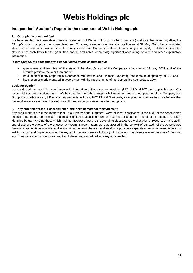## **Independent Auditor's Report to the members of Webis Holdings plc**

#### **1. Our opinion is unmodified**

We have audited the consolidated financial statements of Webis Holdings plc (the "Company") and its subsidiaries (together, the "Group"), which comprise the consolidated and Company statements of financial position as at 31 May 2021, the consolidated statement of comprehensive income, the consolidated and Company statements of changes in equity and the consolidated statement of cash flows for the year then ended, and notes, comprising significant accounting policies and other explanatory information.

#### *In our opinion, the accompanying consolidated financial statements:*

- give a true and fair view of the state of the Group's and of the Company's affairs as at 31 May 2021 and of the Group's profit for the year then ended;
- have been properly prepared in accordance with International Financial Reporting Standards as adopted by the EU; and
- have been properly prepared in accordance with the requirements of the Companies Acts 1931 to 2004.

#### **Basis for opinion**

We conducted our audit in accordance with International Standards on Auditing (UK) ("ISAs (UK)") and applicable law. Our responsibilities are described below. We have fulfilled our ethical responsibilities under, and are independent of the Company and Group in accordance with, UK ethical requirements including FRC Ethical Standards, as applied to listed entities. We believe that the audit evidence we have obtained is a sufficient and appropriate basis for our opinion.

#### **2. Key audit matters: our assessment of the risks of material misstatement**

Key audit matters are those matters that, in our professional judgment, were of most significance in the audit of the consolidated financial statements and include the most significant assessed risks of material misstatement (whether or not due to fraud) identified by us, including those which had the greatest effect on: the overall audit strategy; the allocation of resources in the audit; and directing the efforts of the engagement team. These matters were addressed in the context of our audit of the consolidated financial statements as a whole, and in forming our opinion thereon, and we do not provide a separate opinion on these matters. In arriving at our audit opinion above, the key audit matters were as follows (going concern has been assessed as one of the most significant risks in our current year audit and, therefore, was added as a key audit matter):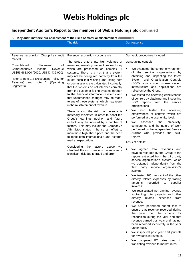### **Independent Auditor's Report to the members of Webis Holdings plc continued**

#### **2. Key audit matters: our assessment of the risks of material misstatement continued**

| The risk | Our response |
|----------|--------------|
|          |              |

Revenue recognition (Group key audit matter)

Consolidated Statement of Comprehensive Income: Revenue US\$55,668,000 (2020: US\$43,436,000)

Refer to note 1.2 (Accounting Policy for Revenue) and note 2 (Operating Segments)

Revenue recognition - occurrence

The Group enters into high volumes of revenue-generating transactions each day which are processed on complex IT systems. There is a risk that a system may not be configured correctly from the outset such that winning and losing bets or commissions are calculated incorrectly, that the systems do not interface correctly from the customer facing systems through to the financial information systems and that unauthorised changes may be made to any of these systems, which may result in the misstatement of revenue.

There is also the risk that revenue is materially misstated in order to boost the Group's earnings position and future outlook may be induced by a number of factors. This may include the Company's AIM listed status – hence an effort to maintain a high share price and the need to meet both internal goals and external market expectations.

Considering the factors above we identified the occurrence of revenue as a significant risk due to fraud and error.

Our audit procedures included:

Outsourcing controls:

- We evaluated the control environment of the service organisations by obtaining and inspecting the latest System and Organisation Controls (SOC) reports upon whose system infrastructure and applications are relied on by the Group.
- We tested the operating effectiveness of controls by obtaining and inspecting SOC reports from the service organisations.
- We also tested the operating effectiveness of controls which are performed at the user entity level.
- We assessed the objectivity, competence and the nature of work performed by the Independent Service Auditor who provides the SOC reports.

Tests of details:

- We agreed total revenues and payouts recorded by the Group to the reports extracted from the third party service organisation's system, which we obtained independently from the third party service organisation's system.
- We tested 100 per cent of the other directly related expenses by tracing amounts recorded to supplier invoices.
- We recalculated net gaming revenue subtracting total payouts and other directly related expenses from revenue.
- We have performed cut-off test to ensure that revenue recorded during the year met the criteria for recognition during the year and that revenue earned post year end has not been recorded incorrectly in the year under audit.
- We inspected post year end journals for reversals in revenue.
- We compared FX rates used in translating revenue to market rates.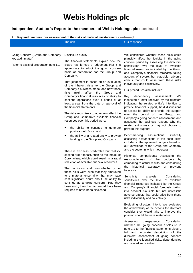## **Independent Auditor's Report to the members of Webis Holdings plc continued**

### **2. Key audit matters: our assessment of the risks of material misstatement continued**

| We considered whether these risks could<br>Going Concern (Group and Company<br>Disclosure quality<br>key audit matter)<br>plausibly affect the liquidity in the going<br>The financial statements explain how the<br>concern period by assessing the directors'<br>Board has formed a judgement that it is<br>Refer to basis of preparation note 1.1<br>sensitivities over the level of available<br>appropriate to adopt the going concern<br>financial resources indicated by the Group<br>basis of preparation for the Group and<br>and Company's financial forecasts taking<br>Company.<br>account of severe, but plausible, adverse<br>effects that could arise from these risks<br>That judgement is based on an evaluation<br>individually and collectively.<br>of the inherent risks to the Group and<br>Company's business model and how those<br>Our procedures also included:<br>risks might affect the Group<br>and<br>Company's financial resources or ability to<br>dependency<br>Key<br>assessment:<br>We<br>continue operations over a period of at<br>inspected a letter received by the directors<br>least a year from the date of approval of<br>indicating the related entity's intention to<br>the financial statements.<br>provide financial support, held discussions<br>to assess its ability to provide this support<br>The risks most likely to adversely affect the<br>over the period of the Group and<br>Group and Company's available financial<br>Company's going concern assessment, and<br>resources over this period were:<br>assessed the business reasons why the<br>related entity may or may not choose to<br>the ability to continue to generate<br>provide this support.<br>positive cash flows; and<br>Benchmarking<br>assumptions:<br>Critically<br>the ability of a related entity to provide<br>assessing assumptions in the cash flows<br>funding to the Group and Company.<br>included in the approved budgets based on<br>our knowledge of the Group and Company<br>and the sector in which it operates.<br>There is also less predictable but realistic<br>second order impact, such as the impact of<br>Historical comparisons: Assessing<br>the<br>Coronavirus, which could result in a rapid<br>reasonableness<br>of<br>budgets<br>the<br>by<br>reduction of available financial resources.<br>comparing to actual results and considering<br>historical<br>previous<br>the<br>accuracy<br>of<br>The risk for our audit was whether or not<br>forecasts.<br>those risks were such that they amounted<br>to a material uncertainty that may have<br>Sensitivity<br>analysis:<br>Considering<br>cast significant doubt about the ability to<br>sensitivities over the level of available<br>continue as a going concern. Had they<br>financial resources indicated by the Group<br>been such, then that fact would have been<br>and Company's financial forecasts taking<br>required to have been disclosed.<br>into account plausible but not unrealistic<br>adverse effects that could arise from these<br>risks individually and collectively.<br>Evaluating directors' intent: We evaluated<br>the achievability of the actions the directors<br>consider they would take to improve the<br>position should the risks materialise.<br>Assessing<br>Considering<br>transparency:<br>whether the going concern disclosure in<br>note 1.1 to the financial statements gives a<br>full and accurate description of the<br>directors' assessment of going concern<br>including the identified risks, dependencies<br>and related sensitivities. |
|-------------------------------------------------------------------------------------------------------------------------------------------------------------------------------------------------------------------------------------------------------------------------------------------------------------------------------------------------------------------------------------------------------------------------------------------------------------------------------------------------------------------------------------------------------------------------------------------------------------------------------------------------------------------------------------------------------------------------------------------------------------------------------------------------------------------------------------------------------------------------------------------------------------------------------------------------------------------------------------------------------------------------------------------------------------------------------------------------------------------------------------------------------------------------------------------------------------------------------------------------------------------------------------------------------------------------------------------------------------------------------------------------------------------------------------------------------------------------------------------------------------------------------------------------------------------------------------------------------------------------------------------------------------------------------------------------------------------------------------------------------------------------------------------------------------------------------------------------------------------------------------------------------------------------------------------------------------------------------------------------------------------------------------------------------------------------------------------------------------------------------------------------------------------------------------------------------------------------------------------------------------------------------------------------------------------------------------------------------------------------------------------------------------------------------------------------------------------------------------------------------------------------------------------------------------------------------------------------------------------------------------------------------------------------------------------------------------------------------------------------------------------------------------------------------------------------------------------------------------------------------------------------------------------------------------------------------------------------------------------------------------------------------------------------------------------------------------------------------------------------------------------------------------------------------------------------------------------------------------------------------------------------------------------------------------------------------------------------------------------------------------------------------------------------------------------------------------------------------------------------------------------------------------------------------------------------------------------------|
|                                                                                                                                                                                                                                                                                                                                                                                                                                                                                                                                                                                                                                                                                                                                                                                                                                                                                                                                                                                                                                                                                                                                                                                                                                                                                                                                                                                                                                                                                                                                                                                                                                                                                                                                                                                                                                                                                                                                                                                                                                                                                                                                                                                                                                                                                                                                                                                                                                                                                                                                                                                                                                                                                                                                                                                                                                                                                                                                                                                                                                                                                                                                                                                                                                                                                                                                                                                                                                                                                                                                                                                                 |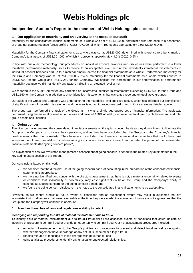### **Independent Auditor's Report to the members of Webis Holdings plc continued**

#### **3. Our application of materiality and an overview of the scope of our audit**

Materiality for the consolidated financial statements as a whole was set at US\$52,000, determined with reference to a benchmark of group net gaming revenue (gross profit) of US\$5,797,000, of which it represents approximately 0.9% (2020: 0.9%).

Materiality for the Company financial statements as a whole was set at US\$23,000, determined with reference to a benchmark of Company's total assets of US\$2,301,000, of which it represents approximately 1.0% (2020: 0.5%).

In line with our audit methodology, our procedures on individual account balances and disclosures were performed to a lower threshold, performance materiality, so as to reduce to an acceptable level the risk that individually immaterial misstatements in individual account balances add up to a material amount across the financial statements as a whole. Performance materiality for the Group and Company was set at 75% (2020: 75%) of materiality for the financial statements as a whole, which equates to US\$39,000 for the Group and US\$17,250 for the Company. We applied this percentage in our determination of performance materiality because we did not identify any factors indicating an elevated level of risk.

We reported to the Audit Committee any corrected or uncorrected identified misstatements exceeding US\$2,600 for the Group and US\$1,150 for the Company, in addition to other identified misstatements that warranted reporting on qualitative grounds.

Our audit of the Group and Company was undertaken to the materiality level specified above, which has informed our identification of significant risks of material misstatement and the associated audit procedures performed in those areas as detailed above.

The group team performed the audit of the Group as if it was a single aggregated set of financial information. The audit was performed using the materiality level set out above and covered 100% of total group revenue, total group profit before tax, and total group assets and liabilities.

#### **4. Going concern**

The directors have prepared the consolidated financial statements on the going concern basis as they do not intend to liquidate the Group or the Company or to cease their operations, and as they have concluded that the Group and the Company's financial position means that this is realistic. They have also concluded that there are no material uncertainties that could have cast significant doubt over their ability to continue as a going concern for at least a year from the date of approval of the consolidated financial statements (the "going concern period").

An explanation of how we evaluated management's assessment of going concern is set out in the related key audit matter in the key audit matters section of this report.

Our conclusions based on this work:

- we consider that the directors' use of the going concern basis of accounting in the preparation of the consolidated financial statements is appropriate;
- we have not identified, and concur with the directors' assessment that there is not, a material uncertainty related to events or conditions that, individually or collectively, may cast significant doubt on the Group and the Company's ability to continue as a going concern for the going concern period; and
- we found the going concern disclosure in the notes to the consolidated financial statements to be acceptable.

However, as we cannot predict all future events or conditions and as subsequent events may result in outcomes that are inconsistent with judgements that were reasonable at the time they were made, the above conclusions are not a guarantee that the Group and the Company will continue in operation.

#### **5. Fraud and breaches of laws and regulations – ability to detect**

#### *Identifying and responding to risks of material misstatement due to fraud*

To identify risks of material misstatement due to fraud ("fraud risks") we assessed events or conditions that could indicate an incentive or pressure to commit fraud or provide an opportunity to commit fraud. Our risk assessment procedures included:

- enquiring of management as to the Group's policies and procedures to prevent and detect fraud as well as enquiring whether management have knowledge of any actual, suspected or alleged fraud;
- reading minutes of meetings of those charged with governance; and
- using analytical procedures to identify any unusual or unexpected relationships.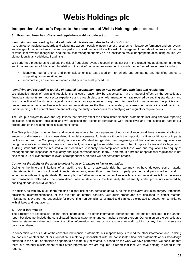### **Independent Auditor's Report to the members of Webis Holdings plc continued**

#### **5. Fraud and breaches of laws and regulations – ability to detect** *continued*

#### **Identifying and responding to risks of material misstatement due to fraud** *continued*

As required by auditing standards and taking into account possible incentives or pressures to misstate performance and our overall knowledge of the control environment, we perform procedures to address the risk of management override of controls and the risk of fraudulent revenue recognition, and the risk that management may be in a position to make inappropriate accounting entries. We did not identify any additional fraud risks.

We performed procedures to address the risk of fraudulent revenue recognition as set out in the related key audit matter in the key audit matters section of this report. In relation to the risk of management override of controls we performed procedures including:

- identifying journal entries and other adjustments to test based on risk criteria and comparing any identified entries to supporting documentation; and
- incorporating an element of unpredictability in our audit procedures.

#### *Identifying and responding to risks of material misstatement due to non-compliance with laws and regulations*

We identified areas of laws and regulations that could reasonably be expected to have a material effect on the consolidated financial statements from our sector experience and through discussion with management (as required by auditing standards), and from inspection of the Group's regulatory and legal correspondence, if any, and discussed with management the policies and procedures regarding compliance with laws and regulations. As the Group is regulated, our assessment of risks involved gaining an understanding of the control environment including the entity's procedures for complying with regulatory requirements.

The Group is subject to laws and regulations that directly affect the consolidated financial statements including financial reporting legislation and taxation legislation and we assessed the extent of compliance with these laws and regulations as part of our procedures on the related financial statement items.

The Group is subject to other laws and regulations where the consequences of non-compliance could have a material effect on amounts or disclosures in the consolidated financial statements, for instance through the imposition of fines or litigation or impacts on the Group and the Company's ability to operate. We identified gambling and e-gaming and financial services regulations as being the area's most likely to have such an effect, recognising the regulated nature of the Group's activities and its legal form. Auditing standards limit the required audit procedures to identify non-compliance with these laws and regulations to enquiry of management and inspection of regulatory and legal correspondence, if any. Therefore, if a breach of operational regulations is not disclosed to us or evident from relevant correspondence, an audit will not detect that breach.

#### *Context of the ability of the audit to detect fraud or breaches of law or regulation*

Owing to the inherent limitations of an audit, there is an unavoidable risk that we may not have detected some material misstatements in the consolidated financial statements, even though we have properly planned and performed our audit in accordance with auditing standards. For example, the further removed non-compliance with laws and regulations is from the events and transactions reflected in the consolidated financial statements, the less likely the inherently limited procedures required by auditing standards would identify it.

In addition, as with any audit, there remains a higher risk of non-detection of fraud, as this may involve collusion, forgery, intentional omissions, misrepresentations, or the override of internal controls. Our audit procedures are designed to detect material misstatement. We are not responsible for preventing non-compliance or fraud and cannot be expected to detect non-compliance with all laws and regulations.

#### **6. Other information**

The directors are responsible for the other information. The other information comprises the information included in the annual report but does not include the consolidated financial statements and our auditor's report thereon. Our opinion on the consolidated financial statements does not cover the other information and we do not express an audit opinion or any form of assurance conclusion thereon.

In connection with our audit of the consolidated financial statements, our responsibility is to read the other information and, in doing so, consider whether the other information is materially inconsistent with the consolidated financial statements or our knowledge obtained in the audit, or otherwise appears to be materially misstated. If, based on the work we have performed, we conclude that there is a material misstatement of this other information, we are required to report that fact. We have nothing to report in this regard.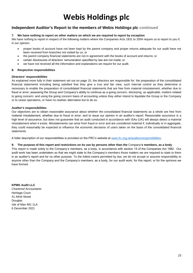## **Independent Auditor's Report to the members of Webis Holdings plc continued**

#### **7. We have nothing to report on other matters on which we are required to report by exception**

We have nothing to report in respect of the following matters where the Companies Acts 1931 to 2004 require us to report to you if, in our opinion:

- proper books of account have not been kept by the parent company and proper returns adequate for our audit have not been received from branches not visited by us; or
- the parent company financial statements are not in agreement with the books of account and returns; or
- certain disclosures of directors' remuneration specified by law are not made; or
- we have not received all the information and explanations we require for our audit.

#### **8. Respective responsibilities**

#### *Directors' responsibilities*

As explained more fully in their statement set out on page 15, the directors are responsible for: the preparation of the consolidated financial statements including being satisfied that they give a true and fair view; such internal control as they determine is necessary to enable the preparation of consolidated financial statements that are free from material misstatement, whether due to fraud or error; assessing the Group and Company's ability to continue as a going concern, disclosing, as applicable, matters related to going concern; and using the going concern basis of accounting unless they either intend to liquidate the Group or the Company or to cease operations, or have no realistic alternative but to do so.

#### *Auditor's responsibilities*

Our objectives are to obtain reasonable assurance about whether the consolidated financial statements as a whole are free from material misstatement, whether due to fraud or error, and to issue our opinion in an auditor's report. Reasonable assurance is a high level of assurance, but does not guarantee that an audit conducted in accordance with ISAs (UK) will always detect a material misstatement when it exists. Misstatements can arise from fraud or error and are considered material if, individually or in aggregate, they could reasonably be expected to influence the economic decisions of users taken on the basis of the consolidated financial statements.

A fuller description of our responsibilities is provided on the FRC's website at [www.frc.org.uk/auditorsresponsibilities.](http://www.frc.org.uk/auditorsresponsibilities)

#### **9. The purpose of this report and restrictions on its use by persons other than the** Company**'s members, as a body**

This report is made solely to the Company's members, as a body, in accordance with section 15 of the Companies Act 1982. Our audit work has been undertaken so that we might state to the Company's members those matters we are required to state to them in an auditor's report and for no other purpose. To the fullest extent permitted by law, we do not accept or assume responsibility to anyone other than the Company and the Company's members, as a body, for our audit work, for this report, or for the opinions we have formed.

**KPMG Audit LLC**

*Chartered Accountants* Heritage Court 41 Athol Street Douglas Isle of Man IM1 1LA 6 December 2021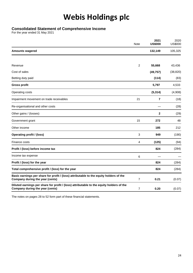### **Consolidated Statement of Comprehensive Income**

For the year ended 31 May 2021

|                                                                                                                             | Note           | 2021<br><b>US\$000</b> | 2020<br><b>US\$000</b> |
|-----------------------------------------------------------------------------------------------------------------------------|----------------|------------------------|------------------------|
| <b>Amounts wagered</b>                                                                                                      |                | 132,149                | 105,325                |
| Revenue                                                                                                                     | $\overline{2}$ | 55,668                 | 43,436                 |
|                                                                                                                             |                |                        |                        |
| Cost of sales                                                                                                               |                | (49, 757)              | (38, 820)              |
| Betting duty paid                                                                                                           |                | (114)                  | (83)                   |
| <b>Gross profit</b>                                                                                                         |                | 5,797                  | 4,533                  |
| Operating costs                                                                                                             |                | (5, 314)               | (4,908)                |
| Impairment movement on trade receivables                                                                                    | 21             | 7                      | (18)                   |
| Re-organisational and other costs                                                                                           |                |                        | (28)                   |
| Other gains / (losses)                                                                                                      |                | $\mathbf 2$            | (29)                   |
| Government grant                                                                                                            | 15             | 272                    | 48                     |
| Other income                                                                                                                |                | 185                    | 212                    |
| <b>Operating profit / (loss)</b>                                                                                            | 3              | 949                    | (190)                  |
| Finance costs                                                                                                               | 4              | (125)                  | (94)                   |
| Profit / (loss) before income tax                                                                                           |                | 824                    | (284)                  |
| Income tax expense                                                                                                          | 6              |                        |                        |
| Profit / (loss) for the year                                                                                                |                | 824                    | (284)                  |
| Total comprehensive profit / (loss) for the year                                                                            |                | 824                    | (284)                  |
| Basic earnings per share for profit / (loss) attributable to the equity holders of the<br>Company during the year (cents)   | 7              | 0.21                   | (0.07)                 |
| Diluted earnings per share for profit / (loss) attributable to the equity holders of the<br>Company during the year (cents) | 7              | 0.20                   | (0.07)                 |

The notes on pages 28 to 52 form part of these financial statements.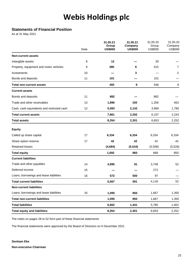## **Statements of Financial Position**

As at 31 May 2021

|                                            | Note | 31.05.21<br>Group<br><b>US\$000</b> | 31.05.21<br>Company<br><b>US\$000</b> | 31.05.20<br>Group<br><b>US\$000</b> | 31.05.20<br>Company<br><b>US\$000</b> |
|--------------------------------------------|------|-------------------------------------|---------------------------------------|-------------------------------------|---------------------------------------|
| <b>Non-current assets</b>                  |      |                                     |                                       |                                     |                                       |
| Intangible assets                          | 8    | 12                                  |                                       | 30                                  |                                       |
| Property, equipment and motor vehicles     | 9    | 380                                 | 6                                     | 415                                 | $\overline{7}$                        |
| Investments                                | 10   |                                     | 3                                     |                                     | 2                                     |
| Bonds and deposits                         | 11   | 101                                 |                                       | 101                                 |                                       |
| <b>Total non-current assets</b>            |      | 493                                 | $\boldsymbol{9}$                      | 546                                 | 9                                     |
| <b>Current assets</b>                      |      |                                     |                                       |                                     |                                       |
| Bonds and deposits                         | 11   | 882                                 |                                       | 882                                 |                                       |
| Trade and other receivables                | 13   | 1,896                               | 150                                   | 1,256                               | 463                                   |
| Cash, cash equivalents and restricted cash | 12   | 5,083                               | 2,142                                 | 3,969                               | 1,780                                 |
| <b>Total current assets</b>                |      | 7,861                               | 2,292                                 | 6,107                               | 2,243                                 |
| <b>Total assets</b>                        |      | 8,354                               | 2,301                                 | 6,653                               | 2,252                                 |
| <b>Equity</b>                              |      |                                     |                                       |                                     |                                       |
| Called up share capital                    | 17   | 6,334                               | 6,334                                 | 6,334                               | 6,334                                 |
| Share option reserve                       | 17   | 42                                  | 42                                    | 42                                  | 42                                    |
| <b>Retained losses</b>                     |      | (4,684)                             | (5, 516)                              | (5,508)                             | (5,526)                               |
| <b>Total equity</b>                        |      | 1,692                               | 860                                   | 868                                 | 850                                   |
| <b>Current liabilities</b>                 |      |                                     |                                       |                                     |                                       |
| Trade and other payables                   | 14   | 4,995                               | 91                                    | 3,749                               | 52                                    |
| Deferred income                            | 15   |                                     |                                       | 272                                 |                                       |
| Loans, borrowings and lease liabilities    | 16   | 572                                 | 500                                   | 97                                  |                                       |
| <b>Total current liabilities</b>           |      | 5,567                               | 591                                   | 4,118                               | 52                                    |
| <b>Non-current liabilities</b>             |      |                                     |                                       |                                     |                                       |
| Loans, borrowings and lease liabilities    | 16   | 1,095                               | 850                                   | 1,667                               | 1,350                                 |
| <b>Total non-current liabilities</b>       |      | 1,095                               | 850                                   | 1,667                               | 1,350                                 |
| <b>Total liabilities</b>                   |      | 6,662                               | 1,441                                 | 5,785                               | 1,402                                 |
| <b>Total equity and liabilities</b>        |      | 8,354                               | 2,301                                 | 6,653                               | 2,252                                 |

The notes on pages 28 to 52 form part of these financial statements

The financial statements were approved by the Board of Directors on 6 December 2021

**Denham Eke Non-executive Chairman**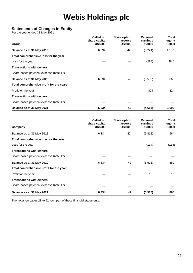## **Statements of Changes in Equity**

For the year ended 31 May 2021

| Group                                    | Called up<br>share capital<br><b>US\$000</b> | <b>Share option</b><br>reserve<br><b>US\$000</b> | <b>Retained</b><br>earnings<br><b>US\$000</b> | Total<br>equity<br><b>US\$000</b> |
|------------------------------------------|----------------------------------------------|--------------------------------------------------|-----------------------------------------------|-----------------------------------|
| Balance as at 31 May 2019                | 6,334                                        | 42                                               | (5,224)                                       | 1,152                             |
| Total comprehensive loss for the year:   |                                              |                                                  |                                               |                                   |
| Loss for the year                        |                                              |                                                  | (284)                                         | (284)                             |
| <b>Transactions with owners:</b>         |                                              |                                                  |                                               |                                   |
| Share-based payment expense (note 17)    |                                              |                                                  |                                               |                                   |
| Balance as at 31 May 2020                | 6,334                                        | 42                                               | (5,508)                                       | 868                               |
| Total comprehensive profit for the year: |                                              |                                                  |                                               |                                   |
| Profit for the year                      |                                              |                                                  | 824                                           | 824                               |
| <b>Transactions with owners:</b>         |                                              |                                                  |                                               |                                   |
| Share-based payment expense (note 17)    |                                              |                                                  |                                               |                                   |
| Balance as at 31 May 2021                | 6,334                                        | 42                                               | (4,684)                                       | 1,692                             |

| Company                                  | Called up<br>share capital<br><b>US\$000</b> | <b>Share option</b><br>reserve<br><b>US\$000</b> | <b>Retained</b><br>earnings<br><b>US\$000</b> | Total<br>equity<br><b>US\$000</b> |
|------------------------------------------|----------------------------------------------|--------------------------------------------------|-----------------------------------------------|-----------------------------------|
| Balance as at 31 May 2019                | 6,334                                        | 42                                               | (5, 412)                                      | 964                               |
| Total comprehensive loss for the year:   |                                              |                                                  |                                               |                                   |
| Loss for the year                        |                                              |                                                  | (114)                                         | (114)                             |
| <b>Transactions with owners:</b>         |                                              |                                                  |                                               |                                   |
| Share-based payment expense (note 17)    |                                              |                                                  |                                               |                                   |
| Balance as at 31 May 2020                | 6,334                                        | 42                                               | (5, 526)                                      | 850                               |
| Total comprehensive profit for the year: |                                              |                                                  |                                               |                                   |
| Profit for the year                      |                                              |                                                  | 10                                            | 10 <sup>1</sup>                   |
| <b>Transactions with owners:</b>         |                                              |                                                  |                                               |                                   |
| Share-based payment expense (note 17)    |                                              |                                                  |                                               |                                   |
| Balance as at 31 May 2021                | 6,334                                        | 42                                               | (5, 516)                                      | 860                               |

The notes on pages 28 to 52 form part of these financial statements.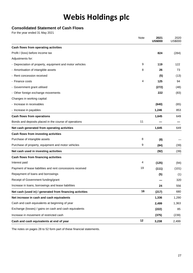## **Consolidated Statement of Cash Flows**

For the year ended 31 May 2021

|                                                            | Note | 2021<br><b>US\$000</b> | 2020<br><b>US\$000</b> |
|------------------------------------------------------------|------|------------------------|------------------------|
| Cash flows from operating activities                       |      |                        |                        |
| Profit / (loss) before income tax                          |      | 824                    | (284)                  |
| Adjustments for:                                           |      |                        |                        |
| - Depreciation of property, equipment and motor vehicles   | 9    | 119                    | 122                    |
| - Amortisation of intangible assets                        | 8    | 26                     | 73                     |
| - Rent concession received                                 |      | (5)                    | (13)                   |
| - Finance costs                                            | 4    | 125                    | 94                     |
| - Government grant utilised                                |      | (272)                  | (48)                   |
| - Other foreign exchange movements                         |      | 222                    | (83)                   |
| Changes in working capital:                                |      |                        |                        |
| - Increase in receivables                                  |      | (640)                  | (65)                   |
| - Increase in payables                                     |      | 1,246                  | 853                    |
| <b>Cash flows from operations</b>                          |      | 1,645                  | 649                    |
| Bonds and deposits placed in the course of operations      | 11   |                        |                        |
| Net cash generated from operating activities               |      | 1,645                  | 649                    |
| Cash flows from investing activities                       |      |                        |                        |
| Purchase of intangible assets                              | 8    | (8)                    |                        |
| Purchase of property, equipment and motor vehicles         | 9    | (84)                   | (39)                   |
| Net cash used in investing activities                      |      | (92)                   | (39)                   |
| Cash flows from financing activities                       |      |                        |                        |
| Interest paid                                              | 4    | (125)                  | (94)                   |
| Payment of lease liabilities and rent concessions received | 19   | (111)                  | (101)                  |
| Repayment of loans and borrowings                          |      | (5)                    | (1)                    |
| Receipt of Government funding/grant                        |      |                        | 320                    |
| Increase in loans, borrowings and lease liabilities        |      | 24                     | 556                    |
| Net cash (used in) / generated from financing activities   | 16   | (217)                  | 680                    |
| Net increase in cash and cash equivalents                  |      | 1,336                  | 1,290                  |
| Cash and cash equivalents at beginning of year             |      | 2,499                  | 1,363                  |
| Exchange (losses) / gains on cash and cash equivalents     |      | (222)                  | 85                     |
| Increase in movement of restricted cash                    |      | (375)                  | (239)                  |
| Cash and cash equivalents at end of year                   | 12   | 3,238                  | 2,499                  |

The notes on pages 28 to 52 form part of these financial statements.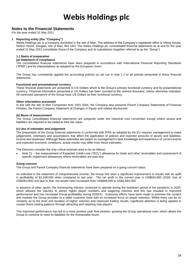### **Notes to the Financial Statements**

For the year ended 31 May 2021

#### **1 Reporting entity (the "Company")**

Webis Holdings plc is a company domiciled in the Isle of Man. The address of the Company's registered office is Viking House, Nelson Street, Douglas, Isle of Man, IM1 2AH. The Webis Holdings plc consolidated financial statements as at and for the year ended 31 May 2021 consolidate those of the Company and its subsidiaries (together referred to as the "Group").

#### **1.1 Basis of preparation**

#### **(a) Statement of compliance**

The consolidated financial statements have been prepared in accordance with International Financial Reporting Standards ("IFRS") and its interpretations as adopted by the European Union.

The Group has consistently applied the accounting policies as set out in note 1.2 to all periods presented in these financial statements.

#### **Functional and presentational currency**

These financial statements are presented in US Dollars which is the Group's primary functional currency and its presentational currency. Financial information presented in US Dollars has been rounded to the nearest thousand, unless otherwise indicated. All continued operations of the Group have US Dollars as their functional currency.

#### **Other information presented**

In line with the Isle of Man Companies Acts 1931-2004, the Company also presents Parent Company Statements of Financial Position, the Parent Company Statement of Changes in Equity and related disclosures

#### **(b) Basis of measurement**

The Group consolidated financial statements are prepared under the historical cost convention except where assets and liabilities are required to be stated at their fair value.

#### **(c) Use of estimates and judgement**

The preparation of the Group financial statements in conformity with IFRS as adopted by the EU requires management to make judgements, estimates and assumptions that affect the application of policies and reported amounts of assets and liabilities, income and expenses. Although these estimates are based on management's best knowledge and experience of current events and expected economic conditions, actual results may differ from these estimates.

The Directors consider the only critical estimate area to be as follows:

Note 21 – the measurement of Expected Credit Loss ("ECL") allowance for trade and other receivables and assessment of specific impairment allowances where receivables are past due.

#### **Going concern**

The Group and Parent Company financial statements have been prepared on a going concern basis.

As indicated in the statement of comprehensive income, the Group has seen a significant improvement in results with an uplift in profitability of \$1,108,000 when compared to last year. The net profit in the current year is US\$824,000 (2020: loss of US\$284,000) and due to that, net assets have increased from US\$868,000 to US\$1,692,000.

In advance of other sports, the horseracing industry continued to operate during the lockdown period of the pandemic in 2020, which allowed the industry to attract higher player numbers and wagering volumes and this has resulted in improved performance and has increased Group profitability during 2020/21. Extensive efforts have been made to promote the content and markets the Group provides to a wider customer base with an increased focus on player retention. Whilst there can be no certainty as to the level and duration of higher volumes and improved trading results, significant attention is being applied to sustain these trading patterns through attracting and retaining new players.

This improved performance has led to a more positive cash flow position, growing the Group operational cash, which allows the Group to continue to meet its liabilities for the foreseeable future.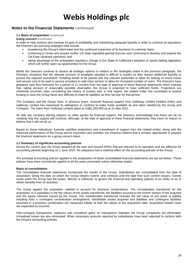### **Notes to the Financial Statements continued**

#### **1.1 Basis of preparation continued**

**Going concern continued**

In order to help achieve and maintain its goal of profitability and maintaining adequate liquidity in order to continue its operations the Directors are pursuing strategies that include:

- broadening the Group's client base and the continued expansion of its business to customer base;
- continuing to renew and acquire further US state regulated gaming licenses and continuing to develop and expand the Cal Expo racetrack operation; and
- taking advantage of the anticipated regulatory change in the State of California's adoption of sports betting legislation which will further open up opportunities for the Group

Whilst the Directors continue to assess all strategic options in relation to the strategies noted in the previous paragraph, the Directors recognize that the ultimate success of strategies adopted is difficult to predict as they require additional liquidity to pursue the required investment, including bonds to be placed with the relevant authorities to allow for betting on those tracks and excess cost to be paid to service providers to add more servers to allow for increased number of users. The Directors have prepared cash flow forecasts for a period of 12 months from the date of approval of these financial statements which indicate that, taking account of reasonably possible downsides, the Group is projected to have sufficient funds. Projections are inherently uncertain (also considering the history of losses) and, in that regard, the related entity has committed to extend funding in case the Group faces any difficulty to meet its liabilities as they fall due for that period.

The Company and the Group have, in previous years, received financial support from Galloway Limited (related entity) and Galloway Limited has expressed its willingness to continue to make funds available as and when needed by the Group and Company. The loans from Galloway Limited stand at US\$1,350,000 as at 31 May 2021.

As with any company placing reliance on other parties for financial support, the Directors acknowledge that there can be no certainty that this support will continue, although, at the date of approval of these financial statements, they have no reason to believe that it will not do so.

Based on these indications, (namely cashflow projections and commitment of support from the related entity), along with the improved performance of the Group and its improved cash position, the Directors believe that it remains appropriate to prepare the financial statements on a going concern basis.

#### **1.2 Summary of significant accounting policies**

During the current year the Group adopted all the new and revised IFRSs that are relevant to its operation and are effective for accounting periods beginning on 1 June 2020. No adoptions had a material effect on the accounting policies of the Group.

The principal accounting policies applied in the preparation of these consolidated financial statements are set out below. These policies have been consistently applied to all the years presented unless otherwise stated.

#### **Basis of consolidation**

The consolidated financial statements incorporate the results of the Group. Subsidiaries are consolidated from the date of acquisition, being the date on which the Group obtains control, and continue until the date that such control ceases. Control exists when the Group has the power, directly or indirectly, to govern the financial and operating policies of an entity so as to obtain benefits from its activities.

The Group applies the acquisition method to account for business combinations. The consideration transferred for the acquisition of a subsidiary is the fair values of the assets transferred, the liabilities incurred to the former owners of the acquiree and the equity interests issued by the Group. The consideration transferred includes the fair value of any asset or liability resulting from a contingent consideration arrangement. Identifiable assets acquired and liabilities and contingent liabilities assumed in a business combination are measured initially at their fair values at the acquisition date. Acquisition-related costs are expensed as incurred.

Inter-company transactions, balances and unrealised gains on transactions between the Group companies are eliminated. Unrealised losses are also eliminated. When necessary amounts reported by subsidiaries have been adjusted to conform with the Group's accounting policies.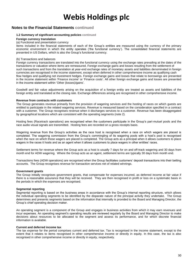### **Notes to the Financial Statements continued**

#### **1.2 Summary of significant accounting policies continued**

#### **Foreign currency translation**

#### (a) Functional and presentation currency

Items included in the financial statements of each of the Group's entities are measured using the currency of the primary economic environment in which the entity operates ('the functional currency'). The consolidated financial statements are presented in US Dollars, which is also the Group's functional currency.

#### (b) Transactions and balances

Foreign currency transactions are translated into the functional currency using the exchange rates prevailing at the dates of the transactions or valuation where items are remeasured. Foreign exchange gains and losses resulting from the settlement of such transactions and from the translation at year-end exchange rates of monetary assets and liabilities denominated in foreign currencies are recognised in the income statement, except when deferred in other comprehensive income as qualifying cash flow hedges and qualifying net investment hedges. Foreign exchange gains and losses that relate to borrowings are presented in the income statement within 'Finance income' or 'Finance costs'. All other foreign exchange gains and losses are presented in the income statement within 'Other (losses)/gains'.

Goodwill and fair value adjustments arising on the acquisition of a foreign entity are treated as assets and liabilities of the foreign entity and translated at the closing rate. Exchange differences arising are recognised in other comprehensive income.

#### **Revenue from contracts with customers**

The Group generates revenue primarily from the provision of wagering services and the hosting of races on which guests are entitled to participate in the related wagering services. Revenue is measured based on the consideration specified in a contract with a customer. The Group recognises revenue when it discharges services to a customer. Revenue has been disaggregated by geographical locations which are consistent with the operating segments (note 2).

Hosting fees (Racetrack operations) are recognised when the customers participate in the Group's pari-mutuel pools and the race audio visual signals are transmitted. Hosting fees are recorded on a gross receipts basis.

Wagering revenue from the Group's activities as the race host is recognised when a race on which wagers are placed is completed. The wagering commission from the Group's commingling of its wagering pools with a host's pool is recognised when the race on which those wagers are placed is completed. The Group acts as a principal when it allows customers to place wagers in the races it hosts and as an agent when it allows customers to place wagers in other entities' races.

Settlement terms for revenue where the Group acts as a host is usually 7 days for on and off-track wagering and 30 days from month end for ADW wagering. Where the Group acts as an agent, settlement terms are typically 30 days from month end.

Transactions fees (ADW operations) are recognised when the Group facilitates customers' deposit transactions into their betting accounts. The Group recognises revenue for transaction services net of related winnings.

#### **Government grants**

The Group initially recognises government grants, that compensate for expenses incurred, as deferred income at fair value if there is a reasonable assurance that they will be received. They are then recognised in profit or loss on a systematic basis in the periods in which the expenses are recognised.

#### **Segmental reporting**

Segmental reporting is based on the business areas in accordance with the Group's internal reporting structure, which allows the individual operating segments to be identified by the disparate nature of the principal activity they undertake. The Group determines and presents segments based on the information that internally is provided to the Board and Managing Director, the Group's chief operating decision maker.

An operating segment is a component of the Group and engages in business activities from which it may earn revenues and incur expenses. An operating segment's operating results are reviewed regularly by the Board and Managing Director to make decisions about resources to be allocated to the segment and assess its performance, and for which discrete financial information is available.

#### **Current and deferred income tax**

The tax expense for the period comprises current and deferred tax. Tax is recognised in the income statement, except to the extent that it relates to items recognised in other comprehensive income or directly in equity. In this case, the tax is also recognised in other comprehensive income or directly in equity, respectively.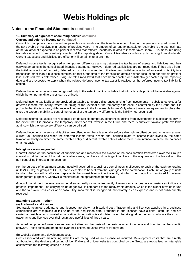### **Notes to the Financial Statements continued**

#### **1.2 Summary of significant accounting policies continued**

#### **Current and deferred income tax continued**

Current tax comprises the expected tax payable or receivable on the taxable income or loss for the year and any adjustment to the tax payable or receivable in respect of previous years. The amount of current tax payable or receivable is the best estimate of the tax amount expected to be paid or received that reflects uncertainty related to income taxes, if any. It is measured using tax rates enacted or substantively enacted at the reporting date. Current tax also includes any tax arising from dividends. Current tax assets and liabilities are offset only if certain criteria are met.

Deferred income tax is recognised on temporary differences arising between the tax bases of assets and liabilities and their carrying amounts in the consolidated financial statements. However, deferred tax liabilities are not recognised if they arise from the initial recognition of goodwill; deferred tax is not accounted for if it arises from initial recognition of an asset or liability in a transaction other than a business combination that at the time of the transaction affects neither accounting nor taxable profit or loss. Deferred tax is determined using tax rates (and laws) that have been enacted or substantively enacted by the reporting date and are expected to apply when the related deferred income tax asset is realised or the deferred income tax liability is settled.

Deferred income tax assets are recognised only to the extent that it is probable that future taxable profit will be available against which the temporary differences can be utilised.

Deferred income tax liabilities are provided on taxable temporary differences arising from investments in subsidiaries except for deferred income tax liability, where the timing of the reversal of the temporary difference is controlled by the Group and it is probable that the temporary difference will not reverse in the foreseeable future. Only where there is an agreement in place that gives the Group the ability to control the reversal of the temporary difference is the liability not recognised.

Deferred income tax assets are recognised on deductible temporary differences arising from investments in subsidiaries only to the extent that it is probable the temporary difference will reverse in the future and there is sufficient taxable profit available against which the temporary difference can be utilised.

Deferred income tax assets and liabilities are offset when there is a legally enforceable right to offset current tax assets against current tax liabilities and when the deferred income taxes, assets and liabilities relate to income taxes levied by the same taxation authority on either the same taxable entity or different taxable entities where there is an intention to settle the balances on a net basis.

#### **Intangible assets — goodwill**

Goodwill arises on the acquisition of subsidiaries and represents the excess of the consideration transferred over the Group's interest in net fair value of the net identifiable assets, liabilities and contingent liabilities of the acquiree and the fair value of the non-controlling interest in the acquiree.

For the purpose of impairment testing, goodwill acquired in a business combination is allocated to each of the cash-generating units ("CGUs"), or groups of CGUs, that is expected to benefit from the synergies of the combination. Each unit or group of units to which the goodwill is allocated represents the lowest level within the entity at which the goodwill is monitored for internal management purposes. Goodwill is monitored at the operating segment level.

Goodwill impairment reviews are undertaken annually or more frequently if events or changes in circumstances indicate a potential impairment. The carrying value of goodwill is compared to the recoverable amount, which is the higher of value in use and the fair value less costs of disposal. Any impairment is recognised immediately as an expense and is not subsequently reversed.

#### **Intangible assets — other**

#### (a) Trademarks and licences

Separately acquired trademarks and licences are shown at historical cost. Trademarks and licences acquired in a business combination are recognised at fair value at the acquisition date. Trademarks and licences have a finite useful life and are carried at cost less accumulated amortisation. Amortisation is calculated using the straight-line method to allocate the cost of trademarks and licences over their estimated useful lives of three years.

Acquired computer software licences are capitalised on the basis of the costs incurred to acquire and bring to use the specific software. These costs are amortised over their estimated useful lives of three years.

#### (b) Website design and development costs

Costs associated with maintaining websites are recognised as an expense as incurred. Development costs that are directly attributable to the design and testing of identifiable and unique websites controlled by the Group are recognised as intangible assets when the following criteria are met: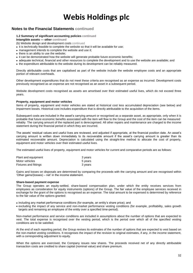### **Notes to the Financial Statements continued**

#### **1.2 Summary of significant accounting policies continued**

**Intangible assets — other continued**

(b) Website design and development costs continued

- it is technically feasible to complete the website so that it will be available for use;
- management intends to complete the website and use it;
- there is an ability to use the website;
- it can be demonstrated how the website will generate probable future economic benefits;
- adequate technical, financial and other resources to complete the development and to use the website are available; and
- the expenditure attributable to the website during its development can be reliably measured.

Directly attributable costs that are capitalised as part of the website include the website employee costs and an appropriate portion of relevant overheads.

Other development expenditures that do not meet these criteria are recognised as an expense as incurred. Development costs previously recognised as an expense are not recognised as an asset in a subsequent period.

Website development costs recognised as assets are amortised over their estimated useful lives, which do not exceed three years.

#### **Property, equipment and motor vehicles**

Items of property, equipment and motor vehicles are stated at historical cost less accumulated depreciation (see below) and impairment losses. Historical cost includes expenditure that is directly attributable to the acquisition of the items.

Subsequent costs are included in the asset's carrying amount or recognised as a separate asset, as appropriate, only when it is probable that future economic benefits associated with the item will flow to the Group and the cost of the item can be measured reliably. The carrying amount of the replaced part is derecognised. All other repairs and maintenance are charged to the income statement during the financial period in which they are incurred.

The assets' residual values and useful lives are reviewed, and adjusted if appropriate, at the financial position date. An asset's carrying amount is written down immediately to its recoverable amount if the asset's carrying amount is greater than its estimated recoverable amount. Depreciation is calculated using the straight-line method to allocate the cost of property, equipment and motor vehicles over their estimated useful lives.

The estimated useful lives of property, equipment and motor vehicles for current and comparative periods are as follows:

| Plant and equipment   | 3 years |
|-----------------------|---------|
| Motor vehicles        | 5 years |
| Fixtures and fittings | 3 years |

Gains and losses on disposals are determined by comparing the proceeds with the carrying amount and are recognised within 'Other gains/(losses) – net' in the income statement.

#### **Share-based payment expense**

The Group operates an equity-settled, share-based compensation plan, under which the entity receives services from employees as consideration for equity instruments (options) of the Group. The fair value of the employee services received in exchange for the grant of the options is recognised as an expense. The total amount to be expensed is determined by reference to the fair value of the options granted:

- including any market performance conditions (for example, an entity's share price); and
- excluding the impact of any service and non-market performance vesting conditions (for example, profitability, sales growth targets and remaining an employee of the entity over a specified time-period).

Non-market performance and service conditions are included in assumptions about the number of options that are expected to vest. The total expense is recognised over the vesting period, which is the period over which all of the specified vesting conditions are to be satisfied.

At the end of each reporting period, the Group revises its estimates of the number of options that are expected to vest based on the non-market vesting conditions. It recognises the impact of the revision to original estimates, if any, in the income statement, with a corresponding adjustment to equity.

When the options are exercised, the Company issues new shares. The proceeds received net of any directly attributable transaction costs are credited to share capital (nominal value) and share premium.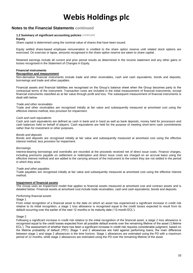### **Notes to the Financial Statements continued**

#### **1.2 Summary of significant accounting policies** continued

#### **Equity**

Share capital is determined using the nominal value of shares that have been issued.

Equity settled share-based employee remuneration is credited to the share option reserve until related stock options are exercised. On exercise or lapse, amounts recognised in the share option reserve are taken to share capital.

Retained earnings include all current and prior period results as determined in the income statement and any other gains or losses recognised in the Statement of Changes in Equity.

#### **Financial instruments**

#### **Recognition and measurement**

Non-derivative financial instruments include trade and other receivables, cash and cash equivalents, bonds and deposits, borrowings and trade and other payables.

Financial assets and financial liabilities are recognised on the Group's balance sheet when the Group becomes party to the contractual terms of the instrument. Transaction costs are included in the initial measurement of financial instruments, except financial instruments classified as at fair value through profit and loss. The subsequent measurement of financial instruments is dealt with below.

#### *Trade and other receivables*

Trade and other receivables are recognised initially at fair value and subsequently measured at amortised cost using the effective interest method, less provision for impairment.

#### *Cash and cash equivalents*

Cash and cash equivalents are defined as cash in bank and in hand as well as bank deposits, money held for processors and cash balances held on behalf of players. Cash equivalents are held for the purpose of meeting short-term cash commitments rather than for investment or other purposes.

#### *Bonds and deposits*

Bonds and deposits are recognised initially at fair value and subsequently measured at amortised cost using the effective interest method, less provision for impairment.

#### *Borrowings*

Interest-bearing borrowings and overdrafts are recorded at the proceeds received net of direct issue costs. Finance charges, including premiums payable on settlement or redemption and direct issue costs are charged on an accrual basis using the effective interest method and are added to the carrying amount of the instrument to the extent they are not settled in the period in which they arise.

#### *Trade and other payables*

Trade payables are recognised initially at fair value and subsequently measured at amortised cost using the effective interest method.

#### **Impairment of financial assets**

The Group uses an impairment model that applies to financial assets measured at amortised cost and contract assets and is detailed below. Financial assets at amortised cost include trade receivables, cash and cash equivalents, bonds and deposits.

#### *Performing financial assets*

#### Stage 1

From initial recognition of a financial asset to the date on which an asset has experienced a significant increase in credit risk relative to its initial recognition, a stage 1 loss allowance is recognised equal to the credit losses expected to result from its default occurring over the earlier of the next 12 months or its maturity date ('12-month ECL').

#### Stage 2

Following a significant increase in credit risk relative to the initial recognition of the financial asset, a stage 2 loss allowance is recognised equal to the credit losses expected from all possible default events over the remaining lifetime of the asset ('Lifetime ECL'). The assessment of whether there has been a significant increase in credit risk requires considerable judgment, based on the lifetime probability of default ('PD'). Stage 1 and 2 allowances are held against performing loans; the main difference between stage 1 and stage 2 allowances is the time horizon. Stage 1 allowances are estimated using the PD with a maximum period of 12 months, while stage 2 allowances are estimated using the PD over the remaining lifetime of the asset.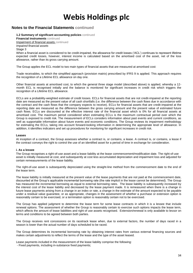### **Notes to the Financial Statements continued**

**1.2 Summary of significant accounting policies** continued

**Financial instruments** continued Impairment of financial assets continued *Impaired financial assets*

Stage 3

When a financial asset is considered to be credit-impaired, the allowance for credit losses ('ACL') continues to represent lifetime expected credit losses, however, interest income is calculated based on the amortised cost of the asset, net of the loss allowance, rather than its gross carrying amount.

The Group applies the ECL model to two main types of financial assets that are measured at amortised cost:

Trade receivables, to which the simplified approach (provision matrix) prescribed by IFRS 9 is applied. This approach requires the recognition of a Lifetime ECL allowance on day one.

Other financial assets at amortised cost, to which the general three stage model (described above) is applied, whereby a 12 month ECL is recognised initially and the balance is monitored for significant increases in credit risk which triggers the recognition of a Lifetime ECL allowance.

ECLs are a probability-weighted estimate of credit losses. ECLs for financial assets that are not credit-impaired at the reporting date are measured as the present value of all cash shortfalls (i.e. the difference between the cash flows due in accordance with the contract and the cash flows that the company expects to receive). ECLs for financial assets that are credit-impaired at the reporting date are measured as the difference between the gross carrying amount and the present value of estimated future cash flows. ECLs are discounted at the effective interest rate of the financial asset which is 0% for all financial assets at amortised cost. The maximum period considered when estimating ECLs is the maximum contractual period over which the Group is exposed to credit risk. The measurement of ECLs considers information about past events and current conditions, as well as supportable information about future events and economic conditions. The Group reviews its impairment methodology for estimating the ECLs, taking into account forward-looking information in determining the appropriate level of allowance. In addition, it identifies indicators and set up procedures for monitoring for significant increases in credit risk.

#### **Leases**

At inception of a contract, the Group assesses whether a contract is, or contains, a lease. A contract is, or contains, a lease if the contract conveys the right to control the use of an identified asset for a period of time in exchange for consideration.

#### **i. As a lessee**

The Group recognises a right-of-use asset and a lease liability at the lease commencement/modification date. The right-of-use asset is initially measured at cost, and subsequently at cost less accumulated depreciation and impairment loss and adjusted for certain remeasurements of the lease liability.

The right-of-use asset is subsequently depreciated using the straight-line method from the commencement date to the end of the lease term.

The lease liability is initially measured at the present value of the lease payments that are not paid at the commencement date, discounted at the Group's applicable incremental borrowing rate (the rate implicit in the lease cannot be determined). The Group has measured the incremental borrowing as equal to external borrowing rates. The lease liability is subsequently increased by the interest cost of the lease liability and decreased by the lease payment made. It is remeasured when there is a change in future lease payments arising from a change in an index or rate, a change in the estimate of the amount expected to be payable under a residual value guarantee, or as appropriate, changes in the assessment of whether a purchase or extension option is reasonably certain to be exercised, or a termination option is reasonably certain not to be exercised.

The Group has applied judgment to determine the lease term for some lease contracts in which it is a lessee that include renewal options. The assessment of whether the Group is reasonably certain to exercise such options impacts the lease term, which affects the amount of lease liabilities and right of use assets recognised. Extension/renewal is only available to lessor on terms and conditions to be agreed between both parties.

The Group receives rent concessions on its racetrack lease when, due to external factors, the number of days raced in a season is lower than the actual number of days scheduled to be raced.

The Group determines its incremental borrowing rate by obtaining interest rates from various external financing sources and makes certain adjustments to reflect the terms of the lease and the type of the asset leased.

Lease payments included in the measurement of the lease liability comprise the following:

- Fixed payments, including in-substance fixed payments;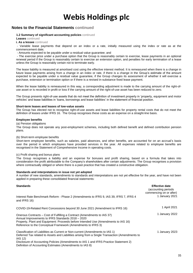### **Notes to the Financial Statements continued**

#### **1.2 Summary of significant accounting policies** continued

**Leases** continued

**i. As a lessee** continued

- Variable lease payments that depend on an index or a rate, initially measured using the index or rate as at the commencement date;

- Amounts expected to be payable under a residual value guarantee; and

- The exercise price under a purchase option that the Group is reasonably certain to exercise, lease payments in an optional renewal period if the Group is reasonably certain to exercise an extension option, and penalties for early termination of a lease unless the Group is reasonably certain not to terminate early.

The lease liability is measured at amortised cost using the effective interest method. It is remeasured when there is a change in future lease payments arising from a change in an index or rate, if there is a change in the Group's estimate of the amount expected to be payable under a residual value guarantee, if the Group changes its assessment of whether it will exercise a purchase, extension or termination option or if there is a revised in-substance fixed lease payment.

When the lease liability is remeasured in this way, a corresponding adjustment is made to the carrying amount of the right-ofuse asset or is recorded in profit or loss if the carrying amount of the right-of-use asset has been reduced to zero.

The Group presents right-of-use assets that do not meet the definition of investment property in 'property, equipment and motor vehicles' and lease liabilities in 'loans, borrowings and lease liabilities' in the statement of financial position.

#### **Short-term leases and leases of low-value assets**

The Group has elected not to recognise right-of-use assets and lease liabilities for property rental costs that do not meet the definition of leases under IFRS 16. The Group recognises these costs as an expense on a straight-line basis.

#### **Employee benefits**

(a) Pension obligations

The Group does not operate any post-employment schemes, including both defined benefit and defined contribution pension plans.

#### (b) Short-term employee benefits

Short-term employee benefits, such as salaries, paid absences, and other benefits, are accounted for on an accrual's basis over the period in which employees have provided services in the year. All expenses related to employee benefits are recognised in the Statement of Comprehensive Income in operating costs.

#### (c) Profit sharing and bonus plans

The Group recognises a liability and an expense for bonuses and profit sharing, based on a formula that takes into consideration the profit attributable to the Company's shareholders after certain adjustments. The Group recognises a provision where contractually obliged or where there is a past practice that has created a constructive obligation.

#### **Standards and interpretations in issue not yet adopted**

A number of new standards, amendments to standards and interpretations are not yet effective for the year, and have not been applied in preparing these consolidated financial statements:

| <b>Standards</b><br>Interest Rate Benchmark Reform - Phase 2 (Amendments to IFRS 9, IAS 39, IFRS 7, IFRS 4                                                                                                                                                                                                                                       | <b>Effective date</b><br>(accounting periods)<br>commencing on or after)<br>1 January 2021 |
|--------------------------------------------------------------------------------------------------------------------------------------------------------------------------------------------------------------------------------------------------------------------------------------------------------------------------------------------------|--------------------------------------------------------------------------------------------|
| and IFRS 16)                                                                                                                                                                                                                                                                                                                                     |                                                                                            |
| COVID-19-Related Rent Concessions beyond 30 June 2021 (Amendment to IFRS 16)                                                                                                                                                                                                                                                                     | 1 April 2021                                                                               |
| Onerous Contracts – Cost of Fulfilling a Contract (Amendments to IAS 37)<br>Annual Improvements to IFRS Standards 2018 - 2020<br>Property, Plant and Equipment: Proceeds before Intended Use (Amendments to IAS 16)<br>Reference to the Conceptual Framework (Amendments to IFRS 3)                                                              | 1 January 2022                                                                             |
| Classification of Liabilities as Current or Non-current (Amendments to IAS 1)<br>Deferred Tax related to Assets and Liabilities arising from a Single Transaction (Amendments to<br>IAS 12)<br>Disclosure of Accounting Policies (Amendments to IAS 1 and IFRS Practice Statement 2)<br>Definition of Accounting Estimates (Amendments to IAS 8) | 1 January 2023                                                                             |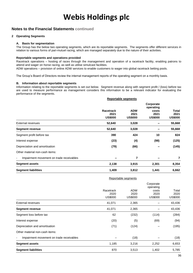### **Notes to the Financial Statements continued**

#### **2 Operating Segments**

#### **A. Basis for segmentation**

The Group has the below two operating segments, which are its reportable segments. The segments offer different services in relation to various forms of pari-mutuel racing, which are managed separately due to the nature of their activities.

#### **Reportable segments and operations provided**

Racetrack operations – hosting of races through the management and operation of a racetrack facility, enabling patrons to attend and wager on horse racing, as well as utilise simulcast facilities.

ADW operations – provision of online ADW services to enable customers to wager into global racetrack betting pools.

The Group's Board of Directors review the internal management reports of the operating segment on a monthly basis.

#### **B. Information about reportable segments**

Information relating to the reportable segments is set out below. Segment revenue along with segment profit / (loss) before tax are used to measure performance as management considers this information to be a relevant indicator for evaluating the performance of the segments.

|                                                                      | <b>Reportable segments</b>          |                                      |                                                           |                                 |
|----------------------------------------------------------------------|-------------------------------------|--------------------------------------|-----------------------------------------------------------|---------------------------------|
|                                                                      | Racetrack<br>2021<br><b>US\$000</b> | <b>ADW</b><br>2021<br><b>US\$000</b> | Corporate<br>operating<br>costs<br>2021<br><b>US\$000</b> | Total<br>2021<br><b>US\$000</b> |
| <b>External revenues</b>                                             | 52,640                              | 3,028                                |                                                           | 55,668                          |
| <b>Segment revenue</b>                                               | 52,640                              | 3,028                                |                                                           | 55,668                          |
| Segment profit before tax                                            | 390                                 | 424                                  | 10                                                        | 824                             |
| Interest expense                                                     | (23)                                | (4)                                  | (98)                                                      | (125)                           |
| Depreciation and amortisation                                        | (79)                                | (66)                                 |                                                           | (145)                           |
| Other material non-cash items:                                       |                                     |                                      |                                                           |                                 |
| Impairment movement on trade receivables<br>$\overline{\phantom{a}}$ |                                     | 7                                    |                                                           | 7                               |
| <b>Segment assets</b>                                                | 2,138                               | 3,915                                | 2,301                                                     | 8,354                           |
| <b>Segment liabilities</b>                                           | 1,409                               | 3,812                                | 1,441                                                     | 6,662                           |

|                                                                      |                                     | Reportable segments           |                                                           |                                 |
|----------------------------------------------------------------------|-------------------------------------|-------------------------------|-----------------------------------------------------------|---------------------------------|
|                                                                      | Racetrack<br>2020<br><b>US\$000</b> | <b>ADW</b><br>2020<br>US\$000 | Corporate<br>operating<br>costs<br>2020<br><b>US\$000</b> | Total<br>2020<br><b>US\$000</b> |
| <b>External revenues</b>                                             | 41,071                              | 2,365                         |                                                           | 43,436                          |
| <b>Segment revenue</b>                                               | 41,071                              | 2,365                         |                                                           | 43,436                          |
| Segment loss before tax                                              | 62                                  | (232)                         | (114)                                                     | (284)                           |
| Interest expense                                                     | (20)                                | (5)                           | (69)                                                      | (94)                            |
| Depreciation and amortisation                                        | (71)                                | (124)                         |                                                           | (195)                           |
| Other material non-cash items:                                       |                                     |                               |                                                           |                                 |
| Impairment movement on trade receivables<br>$\overline{\phantom{a}}$ |                                     | (18)                          |                                                           | (18)                            |
| <b>Segment assets</b>                                                | 1,185                               | 3,216                         | 2,252                                                     | 6,653                           |
| <b>Segment liabilities</b>                                           | 870                                 | 3,513                         | 1,402                                                     | 5,785                           |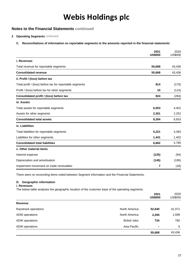## **Notes to the Financial Statements continued**

#### **2 Operating Segments** continued

#### **C. Reconciliations of information on reportable segments to the amounts reported in the financial statements**

|                                                          | 2021<br><b>US\$000</b> | 2020<br><b>US\$000</b> |
|----------------------------------------------------------|------------------------|------------------------|
| i. Revenues                                              |                        |                        |
| Total revenue for reportable segments                    | 55,668                 | 43,436                 |
| <b>Consolidated revenue</b>                              | 55,668                 | 43,436                 |
| ii. Profit / (loss) before tax                           |                        |                        |
| Total profit / (loss) before tax for reportable segments | 814                    | (170)                  |
| Profit / (loss) before tax for other segments            | 10                     | (114)                  |
| Consolidated profit / (loss) before tax                  | 824                    | (284)                  |
| iii. Assets                                              |                        |                        |
| Total assets for reportable segments                     | 6,053                  | 4,401                  |
| Assets for other segments                                | 2,301                  | 2,252                  |
| <b>Consolidated total assets</b>                         | 8,354                  | 6,653                  |
| iv. Liabilities                                          |                        |                        |
| Total liabilities for reportable segments                | 5,221                  | 4,383                  |
| Liabilities for other segments                           | 1,441                  | 1,402                  |
| <b>Consolidated total liabilities</b>                    | 6,662                  | 5,785                  |
| v. Other material items                                  |                        |                        |
| Interest expense                                         | (125)                  | (94)                   |
| Depreciation and amortisation                            | (145)                  | (195)                  |
| Impairment movement on trade receivables                 | 7                      | (18)                   |

There were no reconciling items noted between Segment information and the Financial Statements.

#### **D. Geographic information**

#### **i. Revenues**

The below table analyses the geographic location of the customer base of the operating segments.

|                      |                      | 2021<br><b>US\$000</b> | 2020<br>US\$000 |
|----------------------|----------------------|------------------------|-----------------|
| Revenue              |                      |                        |                 |
| Racetrack operations | North America        | 52,640                 | 41,071          |
| ADW operations       | North America        | 2,294                  | 1,599           |
| ADW operations       | <b>British Isles</b> | 734                    | 760             |
| ADW operations       | Asia Pacific         | -                      | 6               |
|                      |                      | 55,668                 | 43,436          |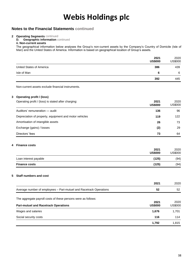### **Notes to the Financial Statements continued**

#### **2 Operating Segments** continued

**D. Geographic information** continued **ii. Non-current assets**

The geographical information below analyses the Group's non-current assets by the Company's Country of Domicile (Isle of Man) and the United States of America. Information is based on geographical location of Group's assets.

|                          | 2021<br><b>US\$000</b> | 2020<br><b>US\$000</b> |
|--------------------------|------------------------|------------------------|
| United States of America | 386                    | 439                    |
| Isle of Man              | 6                      | 6                      |
|                          | 392                    | 445                    |

Non-current assets exclude financial instruments.

#### **3 Operating profit / (loss)**

| Operating profit / (loss) is stated after charging:    | 2021<br><b>US\$000</b> | 2020<br>US\$000 |
|--------------------------------------------------------|------------------------|-----------------|
| Auditors' remuneration — audit                         | 136                    | 96              |
| Depreciation of property, equipment and motor vehicles | 119                    | 122             |
| Amortisation of intangible assets                      | 26                     | 73              |
| Exchange (gains) / losses                              | (2)                    | 29              |
| Directors' fees                                        | 73                     | 64              |

#### **4 Finance costs**

|                       | 2021<br><b>US\$000</b> | 2020<br>US\$000 |
|-----------------------|------------------------|-----------------|
| Loan interest payable | (125)                  | (94)            |
| <b>Finance costs</b>  | (125)                  | (94)            |

#### **5 Staff numbers and cost**

|                                                                    | 2021                   | 2020            |
|--------------------------------------------------------------------|------------------------|-----------------|
| Average number of employees - Pari-mutuel and Racetrack Operations | 52                     | 52              |
| The aggregate payroll costs of these persons were as follows:      |                        |                 |
| <b>Pari-mutuel and Racetrack Operations</b>                        | 2021<br><b>US\$000</b> | 2020<br>US\$000 |
| Wages and salaries                                                 | 1,676                  | 1,701           |
| Social security costs                                              | 116                    | 114             |
|                                                                    | 1,792                  | 1,815           |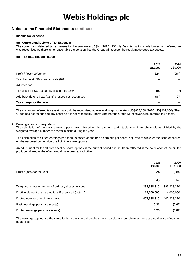### **Notes to the Financial Statements continued**

#### **6 Income tax expense**

#### **(a) Current and Deferred Tax Expenses**

The current and deferred tax expenses for the year were US\$Nil (2020: US\$Nil). Despite having made losses, no deferred tax was recognised as there is no reasonable expectation that the Group will recover the resultant deferred tax assets.

#### **(b) Tax Rate Reconciliation**

|                                                       | 2021<br><b>US\$000</b> | 2020<br>US\$000 |
|-------------------------------------------------------|------------------------|-----------------|
| Profit / (loss) before tax                            | 824                    | (284)           |
| Tax charge at IOM standard rate (0%)                  |                        |                 |
| Adjusted for:                                         |                        |                 |
| Tax credit for US tax gains / (losses) (at 15%)       | 84                     | (97)            |
| Add back deferred tax (gains) / losses not recognised | (84)                   | 97              |
| Tax charge for the year                               |                        |                 |

The maximum deferred tax asset that could be recognised at year end is approximately US\$823,000 (2020: US\$907,000). The Group has not recognised any asset as it is not reasonably known whether the Group will recover such deferred tax assets.

#### **7 Earnings per ordinary share**

The calculation of the basic earnings per share is based on the earnings attributable to ordinary shareholders divided by the weighted average number of shares in issue during the year.

The calculation of diluted earnings per share is based on the basic earnings per share, adjusted to allow for the issue of shares, on the assumed conversion of all dilutive share options.

An adjustment for the dilutive effect of share options in the current period has not been reflected in the calculation of the diluted profit per share, as the effect would have been anti-dilutive.

| 2021<br><b>US\$000</b>                                                 | 2020<br><b>US\$000</b> |
|------------------------------------------------------------------------|------------------------|
| Profit / (loss) for the year<br>824                                    | (284)                  |
|                                                                        | No.<br>No.             |
| Weighted average number of ordinary shares in issue<br>393,338,310     | 393,338,310            |
| Dilutive element of share options if exercised (note 17)<br>14,000,000 | 14,000,000             |
| 407,338,310<br>Diluted number of ordinary shares                       | 407,338,310            |
| 0.21<br>Basic earnings per share (cents)                               | (0.07)                 |
| Diluted earnings per share (cents)<br>0.20                             | (0.07)                 |

The earnings applied are the same for both basic and diluted earnings calculations per share as there are no dilutive effects to be applied.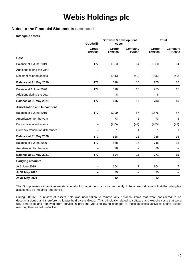### **Notes to the Financial Statements continued**

#### **8 Intangible assets**

|                                    | Software & development<br>Goodwill<br>costs |                         |                           |                         | <b>Total</b>              |
|------------------------------------|---------------------------------------------|-------------------------|---------------------------|-------------------------|---------------------------|
|                                    | Group<br><b>US\$000</b>                     | Group<br><b>US\$000</b> | Company<br><b>US\$000</b> | Group<br><b>US\$000</b> | Company<br><b>US\$000</b> |
| Cost                               |                                             |                         |                           |                         |                           |
| Balance at 1 June 2019             | 177                                         | 1,503                   | 64                        | 1,680                   | 64                        |
| Additions during the year          |                                             |                         |                           |                         |                           |
| Decommissioned assets              |                                             | (905)                   | (49)                      | (905)                   | (49)                      |
| Balance at 31 May 2020             | 177                                         | 598                     | 15                        | 775                     | 15                        |
| Balance at 1 June 2020             | 177                                         | 598                     | 15                        | 775                     | 15                        |
| Additions during the year          |                                             | 8                       |                           | 8                       |                           |
| Balance at 31 May 2021             | 177                                         | 606                     | 15                        | 783                     | 15                        |
| <b>Amortisation and Impairment</b> |                                             |                         |                           |                         |                           |
| Balance at 1 June 2019             | 177                                         | 1,399                   | 57                        | 1,576                   | 57                        |
| Amortisation for the year          |                                             | 73                      | 6                         | 73                      | 6                         |
| Decommissioned assets              |                                             | (905)                   | (49)                      | (905)                   | (49)                      |
| Currency translation differences   |                                             | 1                       | 1                         | 1                       | 1                         |
| Balance at 31 May 2020             | 177                                         | 568                     | 15                        | 745                     | 15                        |
| Balance at 1 June 2020             | 177                                         | 568                     | 15                        | 745                     | 15                        |
| Amortisation for the year          |                                             | 26                      |                           | 26                      |                           |
| Balance at 31 May 2021             | 177                                         | 594                     | 15                        | 771                     | 15                        |
| <b>Carrying amounts</b>            |                                             |                         |                           |                         |                           |
| At 1 June 2019                     |                                             | 104                     | $\overline{7}$            | 104                     | $\overline{7}$            |
| At 31 May 2020                     | $\overline{\phantom{0}}$                    | 30                      | $\overline{\phantom{0}}$  | 30                      |                           |
| At 31 May 2021                     | -                                           | 12                      |                           | 12                      |                           |

The Group reviews intangible assets annually for impairment or more frequently if there are indications that the intangible assets may be impaired (see note 1).

During 2019/20, a review of assets held was undertaken to remove any historical items that were considered to be decommissioned and therefore no longer held by the Group. This principally related to software and website costs that were fully amortised and removed from service in previous years following changes to those business activities and/or assets reaching their end of useful life.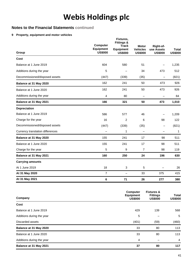## **Notes to the Financial Statements continued**

#### **9 Property, equipment and motor vehicles**

| Group                            | Computer<br><b>Equipment</b><br><b>US\$000</b> | Fixtures,<br><b>Fittings &amp;</b><br><b>Track</b><br><b>Equipment</b><br><b>US\$000</b> | <b>Motor</b><br><b>Vehicles</b><br><b>US\$000</b> | Right-of-<br>use Assets<br><b>US\$000</b> | <b>Total</b><br><b>US\$000</b> |
|----------------------------------|------------------------------------------------|------------------------------------------------------------------------------------------|---------------------------------------------------|-------------------------------------------|--------------------------------|
| Cost                             |                                                |                                                                                          |                                                   |                                           |                                |
| Balance at 1 June 2019           | 604                                            | 580                                                                                      | 51                                                |                                           | 1,235                          |
| Additions during the year        | 5                                              |                                                                                          | 34                                                | 473                                       | 512                            |
| Decommissioned/disposed assets   | (447)                                          | (339)                                                                                    | (35)                                              | $\overline{\phantom{0}}$                  | (821)                          |
| Balance at 31 May 2020           | 162                                            | 241                                                                                      | 50                                                | 473                                       | 926                            |
| Balance at 1 June 2020           | 162                                            | 241                                                                                      | 50                                                | 473                                       | 926                            |
| Additions during the year        | 4                                              | 80                                                                                       |                                                   |                                           | 84                             |
| Balance at 31 May 2021           | 166                                            | 321                                                                                      | 50                                                | 473                                       | 1,010                          |
| <b>Depreciation</b>              |                                                |                                                                                          |                                                   |                                           |                                |
| Balance at 1 June 2019           | 586                                            | 577                                                                                      | 46                                                |                                           | 1,209                          |
| Charge for the year              | 16                                             | 2                                                                                        | 6                                                 | 98                                        | 122                            |
| Decommissioned/disposed assets   | (447)                                          | (339)                                                                                    | (35)                                              | $\overline{\phantom{0}}$                  | (821)                          |
| Currency translation differences |                                                | 1                                                                                        |                                                   | $\overline{\phantom{0}}$                  | 1                              |
| Balance at 31 May 2020           | 155                                            | 241                                                                                      | 17                                                | 98                                        | 511                            |
| Balance at 1 June 2020           | 155                                            | 241                                                                                      | 17                                                | 98                                        | 511                            |
| Charge for the year              | 5                                              | 9                                                                                        | $\overline{7}$                                    | 98                                        | 119                            |
| Balance at 31 May 2021           | 160                                            | 250                                                                                      | 24                                                | 196                                       | 630                            |
| <b>Carrying amounts</b>          |                                                |                                                                                          |                                                   |                                           |                                |
| At 1 June 2019                   | 18                                             | 3                                                                                        | 5                                                 |                                           | 26                             |
| At 31 May 2020                   | $\overline{7}$                                 | $\overline{\phantom{0}}$                                                                 | 33                                                | 375                                       | 415                            |
| At 31 May 2021                   | 6                                              | 71                                                                                       | 26                                                | 277                                       | 380                            |

| Company                   | Computer<br><b>Equipment</b><br><b>US\$000</b> | <b>Fixtures &amp;</b><br><b>Fittings</b><br><b>US\$000</b> | <b>Total</b><br><b>US\$000</b> |
|---------------------------|------------------------------------------------|------------------------------------------------------------|--------------------------------|
| Cost                      |                                                |                                                            |                                |
| Balance at 1 June 2019    | 429                                            | 139                                                        | 568                            |
| Additions during the year | 5                                              |                                                            | 5                              |
| Discarded assets          | (401)                                          | (59)                                                       | (460)                          |
| Balance at 31 May 2020    | 33                                             | 80                                                         | 113                            |
| Balance at 1 June 2020    | 33                                             | 80                                                         | 113                            |
| Additions during the year | 4                                              |                                                            | $\overline{4}$                 |
| Balance at 31 May 2021    | 37                                             | 80                                                         | 117                            |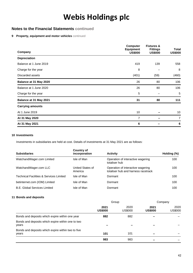### **Notes to the Financial Statements continued**

#### **9 Property, equipment and motor vehicles** continued

| Company                 | <b>Computer</b><br><b>Equipment</b><br><b>US\$000</b> | <b>Fixtures &amp;</b><br><b>Fittings</b><br><b>US\$000</b> | Total<br><b>US\$000</b> |
|-------------------------|-------------------------------------------------------|------------------------------------------------------------|-------------------------|
| <b>Depreciation</b>     |                                                       |                                                            |                         |
| Balance at 1 June 2019  | 419                                                   | 139                                                        | 558                     |
| Charge for the year     | 8                                                     |                                                            | 8                       |
| Discarded assets        | (401)                                                 | (59)                                                       | (460)                   |
| Balance at 31 May 2020  | 26                                                    | 80                                                         | 106                     |
| Balance at 1 June 2020  | 26                                                    | 80                                                         | 106                     |
| Charge for the year     | 5                                                     |                                                            | 5                       |
| Balance at 31 May 2021  | 31                                                    | 80                                                         | 111                     |
| <b>Carrying amounts</b> |                                                       |                                                            |                         |
| At 1 June 2019          | 10 <sup>°</sup>                                       |                                                            | 10                      |
| At 31 May 2020          | 7                                                     |                                                            | $\overline{7}$          |
| At 31 May 2021          | 6                                                     |                                                            | 6                       |

#### **10 Investments**

Investments in subsidiaries are held at cost. Details of investments at 31 May 2021 are as follows:

| <b>Subsidiaries</b>                                | Country of<br>incorporation | <b>Activity</b>                                                          | Holding (%) |
|----------------------------------------------------|-----------------------------|--------------------------------------------------------------------------|-------------|
| WatchandWager.com Limited                          | Isle of Man                 | Operation of interactive wagering<br>totaliser hub                       | 100         |
| WatchandWager.com LLC                              | United States of<br>America | Operation of interactive wagering<br>totaliser hub and harness racetrack | 100         |
| <b>Technical Facilities &amp; Services Limited</b> | Isle of Man                 | Dormant                                                                  | 100         |
| betinternet.com (IOM) Limited                      | Isle of Man                 | Dormant                                                                  | 100         |
| <b>B.E. Global Services Limited</b>                | Isle of Man                 | Dormant                                                                  | 100         |

#### **11 Bonds and deposits**

|                                                             | Group                  |                 | Company                  |                 |
|-------------------------------------------------------------|------------------------|-----------------|--------------------------|-----------------|
|                                                             | 2021<br><b>US\$000</b> | 2020<br>US\$000 | 2021<br><b>US\$000</b>   | 2020<br>US\$000 |
| Bonds and deposits which expire within one year             | 882                    | 882             |                          |                 |
| Bonds and deposits which expire within one to two<br>years  |                        |                 |                          |                 |
| Bonds and deposits which expire within two to five<br>years | 101                    | 101             | $\overline{\phantom{0}}$ |                 |
|                                                             | 983                    | 983             | -                        |                 |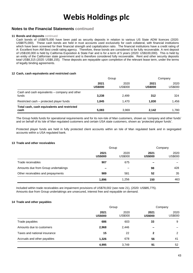### **Notes to the Financial Statements continued**

#### **11 Bonds and deposits** continued

Cash bonds of US\$875,000 have been paid as security deposits in relation to various US State ADW licences (2020: US\$875,000). These cash bonds are held in trust accounts used exclusively for cash collateral, with financial institutions which have been screened for their financial strength and capitalization ratio. The financial institutions have a credit rating of A- Excellent from AM Best credit rating agency. Therefore, these bonds are considered to be fully recoverable. A rent deposit of US\$100,000 is held by California Exposition & State Fair and is for a term of 5 years (2020: US\$100,000). This is held by an entity of the Californian state government and is therefore considered fully recoverable. Rent and other security deposits total US\$8,315 (2020: US\$8,155). These deposits are repayable upon completion of the relevant lease term, under the terms of legally binding agreements.

#### **12 Cash, cash equivalents and restricted cash**

|                                                        | Group                  |                 |                        | Company         |
|--------------------------------------------------------|------------------------|-----------------|------------------------|-----------------|
|                                                        | 2021<br><b>US\$000</b> | 2020<br>US\$000 | 2021<br><b>US\$000</b> | 2020<br>US\$000 |
| Cash and cash equivalents – company and other<br>funds | 3,238                  | 2,499           | 312                    | 324             |
| Restricted cash – protected player funds               | 1.845                  | 1.470           | 1.830                  | 1,456           |
| Total cash, cash equivalents and restricted<br>cash    | 5,083                  | 3.969           | 2.142                  | 1,780           |

The Group holds funds for operational requirements and for its non-Isle of Man customers, shown as 'company and other funds' and on behalf of its Isle of Man regulated customers and certain USA state customers, shown as 'protected player funds'.

Protected player funds are held in fully protected client accounts within an Isle of Man regulated bank and in segregated accounts within a USA regulated bank.

#### **13 Trade and other receivables**

|                                     | Group                  |                 | Company                  |                        |
|-------------------------------------|------------------------|-----------------|--------------------------|------------------------|
|                                     | 2021<br><b>US\$000</b> | 2020<br>US\$000 | 2021<br><b>US\$000</b>   | 2020<br><b>US\$000</b> |
| Trade receivables                   | 907                    | 675             | $\overline{\phantom{0}}$ |                        |
| Amounts due from Group undertakings |                        |                 | 98                       | 428                    |
| Other receivables and prepayments   | 989                    | 581             | 52                       | 35                     |
|                                     | 1,896                  | 1,256           | 150                      | 463                    |

Included within trade receivables are impairment provisions of US\$78,002 (see note 21), (2020: US\$85,775). Amounts due from Group undertakings are unsecured, interest free and repayable on demand.

#### **14 Trade and other payables**

|                              | Group                  |                 |                        | Company                |
|------------------------------|------------------------|-----------------|------------------------|------------------------|
|                              | 2021<br><b>US\$000</b> | 2020<br>US\$000 | 2021<br><b>US\$000</b> | 2020<br><b>US\$000</b> |
| Trade payables               | 686                    | 603             | 33                     | 9                      |
| Amounts due to customers     | 2,968                  | 2,446           |                        |                        |
| Taxes and national insurance | 15                     | 22              | 2                      | 2                      |
| Accruals and other payables  | 1,326                  | 678             | 56                     | 41                     |
|                              | 4,995                  | 3,749           | 91                     | 52                     |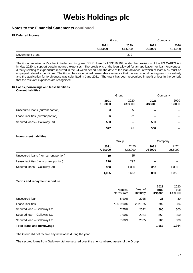### **Notes to the Financial Statements continued**

#### **15 Deferred income**

|                  | Group                    |                        | Company                |                 |
|------------------|--------------------------|------------------------|------------------------|-----------------|
|                  | 2021<br><b>US\$000</b>   | 2020<br><b>US\$000</b> | 2021<br><b>US\$000</b> | 2020<br>US\$000 |
| Government grant | $\overline{\phantom{0}}$ | 272                    | $\sim$                 | $\qquad \qquad$ |

The Group received a Paycheck Protection Program ("PPP") loan for US\$319,994, under the provisions of the US CARES Act in May 2020 to support certain incurred expenses. The provisions of the loan allowed for an application for loan forgiveness, directly relating to expenditure incurred in the 24-week period from the date of the loan advance, of which at least 60% must be on payroll related expenditure. The Group has ascertained reasonable assurance that the loan should be forgiven in its entirety and the application for forgiveness was submitted in June 2021. The grant has been recognised in profit or loss in the periods that the relevant expenses are recognised.

### **16 Loans, borrowings and lease liabilities**

#### **Current liabilities**

|                                     | Group                  |                        | Company                |                 |
|-------------------------------------|------------------------|------------------------|------------------------|-----------------|
|                                     | 2021<br><b>US\$000</b> | 2020<br><b>US\$000</b> | 2021<br><b>US\$000</b> | 2020<br>US\$000 |
| Unsecured loans (current portion)   | 6                      | 5                      |                        |                 |
| Lease liabilities (current portion) | 66                     | 92                     |                        |                 |
| Secured Ioans - Galloway Ltd        | 500                    |                        | 500                    |                 |
|                                     | 572                    | 97                     | 500                    |                 |

#### **Non-current liabilities**

|                                         | Group                  |                        | Company                |                        |
|-----------------------------------------|------------------------|------------------------|------------------------|------------------------|
|                                         | 2021<br><b>US\$000</b> | 2020<br><b>US\$000</b> | 2021<br><b>US\$000</b> | 2020<br><b>US\$000</b> |
| Unsecured loans (non-current portion)   | 19                     | 25                     |                        |                        |
| Lease liabilities (non-current portion) | 226                    | 292                    | -                      |                        |
| Secured Ioans - Galloway Ltd            | 850                    | 1,350                  | 850                    | 1,350                  |
|                                         | 1,095                  | 1,667                  | 850                    | 1,350                  |

#### **Terms and repayment schedule**

|                                   | Nominal<br>interest rate | Year of<br>maturity | 2021<br><b>Total</b><br><b>US\$000</b> | 2020<br>Total<br><b>US\$000</b> |
|-----------------------------------|--------------------------|---------------------|----------------------------------------|---------------------------------|
| Unsecured loan                    | 8.90%                    | 2025                | 25                                     | 30                              |
| Lease liabilities                 | 7.00-9.00%               | 2021-25             | 292                                    | 384                             |
| Secured Ioan - Galloway Ltd       | 7.75%                    | 2022                | 500                                    | 500                             |
| Secured Ioan - Galloway Ltd       | 7.00%                    | 2024                | 350                                    | 350                             |
| Secured Ioan - Galloway Ltd       | 7.00%                    | 2025                | 500                                    | 500                             |
| <b>Total loans and borrowings</b> |                          |                     | 1,667                                  | 1,764                           |

The Group did not receive any new loans during the year.

The secured loans from Galloway Ltd are secured over the unencumbered assets of the Group.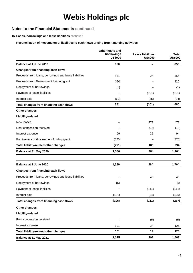### **Notes to the Financial Statements continued**

**16 Loans, borrowings and lease liabilities** continued

#### **Reconciliation of movements of liabilities to cash flows arising from financing activities**

|                                                       | Other loans and<br>borrowings<br><b>US\$000</b> | <b>Lease liabilities</b><br><b>US\$000</b> | <b>Total</b><br><b>US\$000</b> |
|-------------------------------------------------------|-------------------------------------------------|--------------------------------------------|--------------------------------|
| Balance at 1 June 2019                                | 850                                             |                                            | 850                            |
| Changes from financing cash flows                     |                                                 |                                            |                                |
| Proceeds from loans, borrowings and lease liabilities | 531                                             | 25                                         | 556                            |
| Proceeds from Government funding/grant                | 320                                             |                                            | 320                            |
| Repayment of borrowings                               | (1)                                             |                                            | (1)                            |
| Payment of lease liabilities                          |                                                 | (101)                                      | (101)                          |
| Interest paid                                         | (69)                                            | (25)                                       | (94)                           |
| Total changes from financing cash flows               | 781                                             | (101)                                      | 680                            |
| <b>Other changes</b>                                  |                                                 |                                            |                                |
| Liability-related                                     |                                                 |                                            |                                |
| New leases                                            |                                                 | 473                                        | 473                            |
| Rent concession received                              |                                                 | (13)                                       | (13)                           |
| Interest expense                                      | 69                                              | 25                                         | 94                             |
| Forgiveness of Government funding/grant               | (320)                                           |                                            | (320)                          |
| <b>Total liability-related other changes</b>          | (251)                                           | 485                                        | 234                            |
| Balance at 31 May 2020                                | 1,380                                           | 384                                        | 1,764                          |
| Balance at 1 June 2020                                | 1,380                                           | 384                                        | 1,764                          |
| Changes from financing cash flows                     |                                                 |                                            |                                |
| Proceeds from loans, borrowings and lease liabilities |                                                 | 24                                         | 24                             |
| Repayment of borrowings                               | (5)                                             |                                            | (5)                            |
| Payment of lease liabilities                          |                                                 | (111)                                      | (111)                          |
| Interest paid                                         | (101)                                           | (24)                                       | (125)                          |
| Total changes from financing cash flows               | (106)                                           | (111)                                      | (217)                          |
| Other changes                                         |                                                 |                                            |                                |
| Liability-related                                     |                                                 |                                            |                                |
| Rent concession received                              |                                                 | (5)                                        | (5)                            |
| Interest expense                                      | 101                                             | 24                                         | 125                            |
| Total liability-related other changes                 | 101                                             | 19                                         | 120                            |
| Balance at 31 May 2021                                | 1,375                                           | 292                                        | 1,667                          |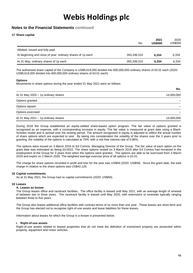### **Notes to the Financial Statements continued**

#### **17 Share capital**

|                                                            | No.         | 2021<br><b>US\$000</b> | 2020<br>US\$000 |
|------------------------------------------------------------|-------------|------------------------|-----------------|
| Allotted, issued and fully paid                            |             |                        |                 |
| At beginning and close of year: ordinary shares of 1p each | 393,338,310 | 6.334                  | 6.334           |
| At 31 May: ordinary shares of 1p each                      | 393,338,310 | 6.334                  | 6.334           |

The authorised share capital of the Company is US\$9,619,000 divided into 600,000,000 ordinary shares of £0.01 each (2020: US\$9,619,000 divided into 600,000,000 ordinary shares of £0.01 each).

#### **Options**

Movements in share options during the year ended 31 May 2021 were as follows:

| At 31 May 2020 - 1p ordinary shares | 14,000,000 |
|-------------------------------------|------------|
| Options granted                     |            |
| Options lapsed                      |            |
| Options exercised                   |            |
| At 31 May 2021 - 1p ordinary shares | 14,000,000 |

During 2016 the Group established an equity-settled share-based option program. The fair value of options granted is recognised as an expense, with a corresponding increase in equity. The fair value is measured at grant date using a Black-Scholes model and is spread over the vesting period. The amount recognised in equity is adjusted to reflect the actual number of share options which are expected to vest. By taking into consideration the volatility of the shares over the 3 years prior to granting, the volatility of the options is calculated at 75%, with a risk-free interest rate of 0.86%.

The options were issued on 3 March 2016 to Ed Comins, Managing Director of the Group. The fair value of each option on the grant date was estimated as being £0.0022. The share options vested on 3 March 2019 after Ed Comins had remained in the employment of the Group for 3 years from when the options were granted. The options are able to be exercised from 3 March 2019 and expire on 2 March 2026. The weighted average exercise price of all options is £0.01.

The charge for share options recorded in profit and loss for the year was US\$Nil (2020: US\$Nil). Since the grant date, the total charge in relation to the share options was US\$42,126.

#### **18 Capital commitments**

As at 31 May 2021, the Group had no capital commitments (2020: US\$Nil).

#### **19 Leases**

#### **A. Leases as lessee**

The Group leases office and racetrack facilities. The office facility is leased until May 2021, with an average length of renewal of between two to three years. The racetrack facility is leased until May 2025, with extensions or renewals typically ranging between three to five years.

The Group also leases additional office facilities with contract terms of no more than one year. These leases are short-term and the Group has elected not to recognise right-of-use assets and lease liabilities for these leases.

Information about leases for which the Group is a lessee is presented below.

#### **i. Right-of-use assets**

Right-of-use assets related to leased properties that do not meet the definition of investment property are presented within property, equipment and motor vehicles.

**No.**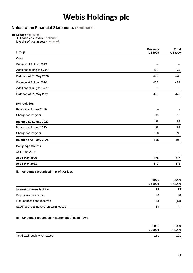## **Notes to the Financial Statements continued**

**19 Leases** continued

- **A. Leases as lessee** continued
- **i. Right of use assets continued**

| Group                     | <b>Property</b><br><b>US\$000</b> | <b>Total</b><br><b>US\$000</b> |
|---------------------------|-----------------------------------|--------------------------------|
| Cost                      |                                   |                                |
| Balance at 1 June 2019    |                                   |                                |
| Additions during the year | 473                               | 473                            |
| Balance at 31 May 2020    | 473                               | 473                            |
| Balance at 1 June 2020    | 473                               | 473                            |
| Additions during the year |                                   |                                |
| Balance at 31 May 2021    | 473                               | 473                            |
| <b>Depreciation</b>       |                                   |                                |
| Balance at 1 June 2019    |                                   |                                |
| Charge for the year       | 98                                | 98                             |
| Balance at 31 May 2020    | 98                                | 98                             |
| Balance at 1 June 2020    | 98                                | 98                             |
| Charge for the year       | 98                                | 98                             |
| Balance at 31 May 2021    | 196                               | 196                            |
| <b>Carrying amounts</b>   |                                   |                                |
| At 1 June 2019            |                                   |                                |
| At 31 May 2020            | 375                               | 375                            |
| At 31 May 2021            | 277                               | 277                            |

#### **ii. Amounts recognised in profit or loss**

|                                        | 2021<br><b>US\$000</b> | 2020<br><b>US\$000</b> |
|----------------------------------------|------------------------|------------------------|
| Interest on lease liabilities          | 24                     | 25                     |
| Depreciation expense                   | 98                     | 98                     |
| Rent concessions received              | (5)                    | (13)                   |
| Expenses relating to short-term leases | 69                     | 47                     |

#### **iii. Amounts recognised in statement of cash flows**

| 2021                                 | 2020    |
|--------------------------------------|---------|
| <b>US\$000</b>                       | US\$000 |
| Total cash outflow for leases<br>111 | 101     |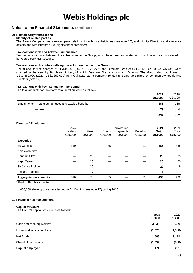### **Notes to the Financial Statements continued**

### **20 Related party transactions**

**Identity of related parties**

The Parent Company has a related party relationship with its subsidiaries (see note 10), and with its Directors and executive officers and with Burnbrae Ltd (significant shareholder).

#### **Transactions with and between subsidiaries**

Transactions with and between the subsidiaries in the Group, which have been eliminated on consolidation, are considered to be related party transactions.

#### **Transactions with entities with significant influence over the Group**

Rental and service charges of US\$45,652 (2020: US\$26,273) and Directors' fees of US\$26,461 (2020: US\$45,435) were charged in the year by Burnbrae Limited, of which Denham Eke is a common Director. The Group also had loans of US\$1,350,000 (2020: US\$1,350,000) from Galloway Ltd, a company related to Burnbrae Limited by common ownership and Directors (note 17).

#### **Transactions with key management personnel**

The total amounts for Directors' remuneration were as follows:

|                                                     | 2021<br><b>US\$000</b> | 2020<br><b>US\$000</b> |
|-----------------------------------------------------|------------------------|------------------------|
| Emoluments - salaries, bonuses and taxable benefits | 366                    | 368                    |
| — fees                                              | 73                     | 64                     |
|                                                     | 439                    | 432                    |

#### **Directors' Emoluments**

|                             | Basic<br>salary<br>US\$000 | Fees<br><b>US\$000</b> | <b>Bonus</b><br><b>US\$000</b> | Termination<br>payments<br><b>US\$000</b> | <b>Benefits</b><br><b>US\$000</b> | 2021<br><b>Total</b><br><b>US\$000</b> | 2020<br>Total<br>US\$000 |
|-----------------------------|----------------------------|------------------------|--------------------------------|-------------------------------------------|-----------------------------------|----------------------------------------|--------------------------|
| <b>Executive</b>            |                            |                        |                                |                                           |                                   |                                        |                          |
| <b>Ed Comins</b>            | 310                        |                        | 35                             |                                           | 21                                | 366                                    | 368                      |
| Non-executive               |                            |                        |                                |                                           |                                   |                                        |                          |
| Denham Eke*                 |                            | 26                     |                                |                                           |                                   | 26                                     | 25                       |
| Nigel Caine                 |                            | 20                     |                                |                                           |                                   | 20                                     | 20                       |
| Sir James Mellon            |                            | 20                     |                                |                                           |                                   | 20                                     | 19                       |
| <b>Richard Roberts</b>      |                            | 7                      |                                |                                           |                                   | 7                                      |                          |
| <b>Aggregate emoluments</b> | 310                        | 73                     | 35                             |                                           | 21                                | 439                                    | 432                      |

\* Paid to Burnbrae Limited.

14,000,000 share options were issued to Ed Comins (see note 17) during 2016.

#### **21 Financial risk management**

#### **Capital structure**

The Group's capital structure is as follows:

|                               | 2021<br><b>US\$000</b> | 2020<br><b>US\$000</b> |
|-------------------------------|------------------------|------------------------|
| Cash and cash equivalents     | 3,238                  | 2,499                  |
| Loans and similar liabilities | (1, 375)               | (1, 380)               |
| <b>Net funds</b>              | 1,863                  | 1,119                  |
| Shareholders' equity          | (1,692)                | (868)                  |
| <b>Capital employed</b>       | 171                    | 251                    |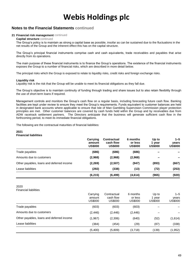### **Notes to the Financial Statements continued**

#### **21 Financial risk management** continued

#### **Capital structure** continued

The Group's policy is to maintain as strong a capital base as possible, insofar as can be sustained due to the fluctuations in the net results of the Group and the inherent effect this has on the capital structure.

The Group's principal financial instruments comprise cash and cash equivalents, trade receivables and payables that arise directly from its operations.

The main purpose of these financial instruments is to finance the Group's operations. The existence of the financial instruments exposes the Group to a number of financial risks, which are described in more detail below.

The principal risks which the Group is exposed to relate to liquidity risks, credit risks and foreign exchange risks.

#### **Liquidity risk**

Liquidity risk is the risk that the Group will be unable to meet its financial obligations as they fall due.

The Group's objective is to maintain continuity of funding through trading and share issues but to also retain flexibility through the use of short-term loans if required.

Management controls and monitors the Group's cash flow on a regular basis, including forecasting future cash flow. Banking facilities are kept under review to ensure they meet the Group's requirements. Funds equivalent to customer balances are held in designated bank accounts where applicable to ensure that Isle of Man Gambling Supervision Commission player protection principles are met. Other customer balances are covered by cash funds held within the Group and by receivables due from ADW racetrack settlement partners. The Directors anticipate that the business will generate sufficient cash flow in the forthcoming period, to meet its immediate financial obligations.

The following are the contractual maturities of financial liabilities:

#### **2021 Financial liabilities**

|                                           | Carrying<br>amount<br><b>US\$000</b> | <b>Contractual</b><br>cash flow<br><b>US\$000</b> | 6 months<br>or less<br><b>US\$000</b> | Up to<br>vear<br><b>US\$000</b> | $1 - 5$<br>years<br><b>US\$000</b> |
|-------------------------------------------|--------------------------------------|---------------------------------------------------|---------------------------------------|---------------------------------|------------------------------------|
| Trade payables                            | (686)                                | (686)                                             | (686)                                 |                                 |                                    |
| Amounts due to customers                  | (2,968)                              | (2,968)                                           | (2,968)                               |                                 | $\overline{\phantom{0}}$           |
| Other payables, loans and deferred income | (2, 269)                             | (2,507)                                           | (947)                                 | (893)                           | (667)                              |
| Lease liabilities                         | (292)                                | (338)                                             | (13)                                  | (72)                            | (253)                              |
|                                           | (6, 215)                             | (6, 499)                                          | (4,614)                               | (965)                           | (920)                              |

#### 2020

Financial liabilities

|                                           | Carrying<br>amount<br>US\$000 | Contractual<br>cash flow<br><b>US\$000</b> | 6 months<br>or less<br>US\$000 | Up to<br>1 year<br>US\$000 | $1 - 5$<br>vears<br><b>US\$000</b> |
|-------------------------------------------|-------------------------------|--------------------------------------------|--------------------------------|----------------------------|------------------------------------|
| Trade payables                            | (603)                         | (603)                                      | (603)                          |                            |                                    |
| Amounts due to customers                  | (2, 446)                      | (2, 446)                                   | (2, 446)                       |                            |                                    |
| Other payables, loans and deferred income | (1,967)                       | (2,306)                                    | (640)                          | (52)                       | (1,614)                            |
| Lease liabilities                         | (384)                         | (454)                                      | (29)                           | (87)                       | (338)                              |
|                                           | (5,400)                       | (5,809)                                    | (3,718)                        | (139)                      | (1, 952)                           |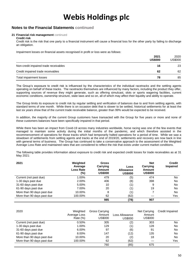### **Notes to the Financial Statements continued**

#### **21 Financial risk management** continued **Credit risk**

Credit risk is the risk that one party to a financial instrument will cause a financial loss for the other party by failing to discharge an obligation.

Impairment losses on financial assets recognised in profit or loss were as follows:

|                                       | 2021<br><b>US\$000</b> | 2020<br>US\$000 |
|---------------------------------------|------------------------|-----------------|
| Non-credit impaired trade receivables | 16                     | 23              |
| Credit impaired trade receivables     | 62                     | 62              |
| Total impairment losses               | 78                     | 85              |

The Group's exposure to credit risk is influenced by the characteristics of the individual racetracks and the settling agents operating on behalf of these tracks. The racetracks themselves are influenced by many factors, including the product they offer, supporting sources of revenue they might generate, such as offering simulcast, slots or sports wagering facilities, current economic conditions, ownership structure, state laws and so on, all of which may affect their liquidity and ability to operate.

The Group limits its exposure to credit risk by regular settling and verification of balances due to and from settling agents, with standard terms of one month. While there is on occasion debt that is slower to be settled, historical settlements for at least the last six years show that of the current trade receivable balance, greater than 99% would be expected to be received.

In addition, the majority of the current Group customers have transacted with the Group for five years or more and none of these customers balances have been specifically impaired in that period.

While there has been an impact from Covid-19 across many industries worldwide, horse racing was one of the few events that managed to maintain some activity during the initial months of the pandemic, and which therefore assisted in the recommencement of operations for those tracks which had temporarily halted operations for a period of time. While we saw a slowdown of settlements from settling agents and tracks at the end of 2019/20, settlements and recovery are now back in line with general terms of business. The Group has continued to take a conservative approach to the assessment of the Weighted Average Loss Rate and maintained rates that are considered to reflect the risk that exists under current market conditions.

The following table provides information about exposure to credit risk and expected credit losses for trade receivables as at 31 May 2021:

| 2021                       | Weighted<br>Average<br>Loss Rate<br>(%) | <b>Gross</b><br>Carrying<br>Amount<br><b>US\$000</b> | Loss<br><b>Allowance</b><br><b>US\$000</b> | <b>Net</b><br>Carrying<br>Amount<br><b>US\$000</b> | <b>Credit</b><br><b>Impaired</b> |
|----------------------------|-----------------------------------------|------------------------------------------------------|--------------------------------------------|----------------------------------------------------|----------------------------------|
| Current (not past due)     | 1.00%                                   | 479                                                  | (5)                                        | 474                                                | No                               |
| 1-30 days past due         | 2.00%                                   | 406                                                  | (8)                                        | 398                                                | No                               |
| 31-60 days past due        | 5.00%                                   | 10                                                   | (1)                                        | 9                                                  | No                               |
| 61-90 days past due        | 7.00%                                   | 20                                                   | (1)                                        | 19                                                 | No                               |
| More than 90 days past due | 10.00%                                  | 8                                                    | (1)                                        |                                                    | No                               |
| More than 90 days past due | 100.00%                                 | 62                                                   | (62)                                       |                                                    | Yes                              |
|                            |                                         | 985                                                  | (78)                                       | 907                                                |                                  |

| 2020                       | Weighted<br>Average Loss<br>Rate $(\%)$ | Gross Carrying<br>Amount<br>US\$000 | Loss Allowance<br><b>US\$000</b> | Net Carrying<br>Amount<br><b>US\$000</b> | Credit Impaired |
|----------------------------|-----------------------------------------|-------------------------------------|----------------------------------|------------------------------------------|-----------------|
| Current (not past due)     | 0.50%                                   | 305                                 | (2)                              | 303                                      | No.             |
| 1-30 days past due         | 1.00%                                   | 129                                 | (1)                              | 128                                      | No              |
| 31-60 days past due        | 6.00%                                   | 97                                  | (6)                              | 91                                       | <b>No</b>       |
| 61-90 days past due        | 8.00%                                   | 147                                 | (12)                             | 135                                      | No              |
| More than 90 days past due | 10.00%                                  | 20                                  | (2)                              | 18                                       | <b>No</b>       |
| More than 90 days past due | 100.00%                                 | 62                                  | (62)                             |                                          | Yes             |
|                            |                                         | 760                                 | (85)                             | 675                                      |                 |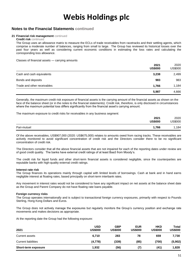### **Notes to the Financial Statements continued**

#### **21 Financial risk management** continued

#### **Credit risk** continued

The Group uses an allowance matrix to measure the ECLs of trade receivables from racetracks and their settling agents, which comprise a moderate number of balances, ranging from small to large. The Group has reviewed its historical losses over the past four years as well as considering current economic conditions in estimating the loss rates and calculating the corresponding loss allowance.

Classes of financial assets — carrying amounts

|                             | 2021<br><b>US\$000</b> | 2020<br>US\$000 |
|-----------------------------|------------------------|-----------------|
| Cash and cash equivalents   | 3,238                  | 2,499           |
| Bonds and deposits          | 983                    | 983             |
| Trade and other receivables | 1.766                  | 1,184           |
|                             | 5,987                  | 4,666           |

Generally, the maximum credit risk exposure of financial assets is the carrying amount of the financial assets as shown on the face of the balance sheet (or in the notes to the financial statements). Credit risk, therefore, is only disclosed in circumstances where the maximum potential loss differs significantly from the financial asset's carrying amount.

The maximum exposure to credit risks for receivables in any business segment:

|             | 2021<br><b>US\$000</b> | 2020<br><b>US\$000</b> |
|-------------|------------------------|------------------------|
| Pari-mutuel | 1,766                  | .184                   |

Of the above receivables, US\$907,000 (2020: US\$675,000) relates to amounts owed from racing tracks. These receivables are actively monitored to avoid significant concentration of credit risk and the Directors consider there to be no significant concentration of credit risk.

The Directors consider that all the above financial assets that are not impaired for each of the reporting dates under review are of good credit quality. The banks have external credit ratings of at least Baa3 from Moody's.

The credit risk for liquid funds and other short-term financial assets is considered negligible, since the counterparties are reputable banks with high-quality external credit ratings.

#### **Interest rate risk**

The Group finances its operations mainly through capital with limited levels of borrowings. Cash at bank and in hand earns negligible interest at floating rates, based principally on short-term interbank rates.

Any movement in interest rates would not be considered to have any significant impact on net assets at the balance sheet date as the Group and Parent Company do not have floating rate loans payable.

#### **Foreign currency risks**

The Group operates internationally and is subject to transactional foreign currency exposures, primarily with respect to Pounds Sterling, Hong Kong Dollars and Euros.

The Group does not actively manage the exposures but regularly monitors the Group's currency position and exchange rate movements and makes decisions as appropriate.

At the reporting date the Group had the following exposure:

| 2021                       | <b>USD</b><br><b>US\$000</b> | <b>GBP</b><br><b>US\$000</b> | <b>EUR</b><br><b>US\$000</b> | <b>HKD</b><br><b>US\$000</b> | Total<br><b>US\$000</b> |
|----------------------------|------------------------------|------------------------------|------------------------------|------------------------------|-------------------------|
| Current assets             | 6.710                        | 283                          | 78                           | 659                          | 7,730                   |
| <b>Current liabilities</b> | (4,778)                      | (339)                        | (85)                         | (700)                        | (5,902)                 |
| Short-term exposure        | 1,932                        | (56)                         | (7)                          | (41)                         | 1,828                   |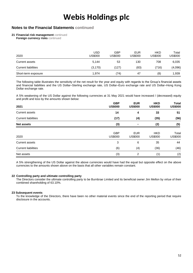### **Notes to the Financial Statements continued**

**21 Financial risk management** continued

**Foreign currency risks continued** 

| 2020                       | USD<br><b>US\$000</b> | GBP<br>US\$000 | <b>EUR</b><br>US\$000 | <b>HKD</b><br><b>US\$000</b> | Total<br>US\$000 |
|----------------------------|-----------------------|----------------|-----------------------|------------------------------|------------------|
| Current assets             | 5,144                 | 53             | 130                   | 708                          | 6,035            |
| <b>Current liabilities</b> | (3, 170)              | (127)          | (83)                  | (716)                        | (4,096)          |
| Short-term exposure        | 1,974                 | (74)           | 47                    | (8)                          | 1,939            |

The following table illustrates the sensitivity of the net result for the year and equity with regards to the Group's financial assets and financial liabilities and the US Dollar–Sterling exchange rate, US Dollar–Euro exchange rate and US Dollar–Hong Kong Dollar exchange rate.

A 5% weakening of the US Dollar against the following currencies at 31 May 2021 would have increased / (decreased) equity and profit and loss by the amounts shown below:

| 2021                       | <b>GBP</b><br><b>US\$000</b> | <b>EUR</b><br><b>US\$000</b> | <b>HKD</b><br><b>US\$000</b> | Total<br><b>US\$000</b> |
|----------------------------|------------------------------|------------------------------|------------------------------|-------------------------|
| <b>Current assets</b>      | 14                           | 4                            | 33                           | 51                      |
| <b>Current liabilities</b> | (17)                         | (4)                          | (35)                         | (56)                    |
| <b>Net assets</b>          | (3)                          |                              | (2)                          | (5)                     |
| 2020                       | <b>GBP</b><br><b>US\$000</b> | <b>EUR</b><br><b>US\$000</b> | <b>HKD</b><br><b>US\$000</b> | Total<br><b>US\$000</b> |
| <b>Current assets</b>      | 3                            | 6                            | 35                           | 44                      |
| <b>Current liabilities</b> | (6)                          | (4)                          | (36)                         | (46)                    |
| Net assets                 | (3)                          | 2                            | (1)                          | (2)                     |

A 5% strengthening of the US Dollar against the above currencies would have had the equal but opposite effect on the above currencies to the amounts shown above on the basis that all other variables remain constant.

#### **22 Controlling party and ultimate controlling party**

The Directors consider the ultimate controlling party to be Burnbrae Limited and its beneficial owner Jim Mellon by virtue of their combined shareholding of 63.10%.

#### **23 Subsequent events**

To the knowledge of the Directors, there have been no other material events since the end of the reporting period that require disclosure in the accounts.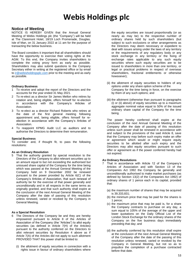### **Notice of Meeting**

NOTICE IS HEREBY GIVEN that the Annual General Meeting of Webis Holdings plc (the "Company") will be held at The Claremont Hotel, 18/19 Loch Promenade, Douglas, Isle of Man, on 31 January 2022 at 11 am for the purpose of transacting the below business.

The Board considers it important that all shareholders should have the opportunity to exercise their voting rights at the AGM. To this end, the Company invites shareholders to complete the voting proxy form as early as possible. Shareholders may also submit questions to the Company Secretary either in writing at the registered office or by email to [ir@webisholdingsplc.com](mailto:ir@webisholdingsplc.com) prior to the meeting and as early as possible.

#### **Ordinary Business**

- 1 To receive and adopt the report of the Directors and the accounts for the year ended 31 May 2021.
- 2 To re-elect as a director Sir James Mellon who retires by rotation and, being eligible, offers himself for re-election in accordance with the Company's Articles of Association.
- 3 To re-elect as a director Richard Roberts who retires at the date of the first general meeting following appointment and, being eligible, offers himself for reelection in accordance with the Company's Articles of Association.
- 4 To reappoint KPMG Audit LLC as auditors and to authorise the Directors to determine their remuneration.

#### **Special Business**

To consider and, if thought fit, to pass the following resolutions:

#### **As an Ordinary Resolution**

5 That the authority granted by special resolution to the Directors of the Company to allot relevant securities up to an amount equal to but not exceeding the authorised but unissued share capital of the Company for the time being which was passed at the Annual General Meeting of the Company held on 9 December 2002 be renewed pursuant to the power provided by Article 6(C) of the Company's Articles of Association, that such renewal of authority be for the exercise of that power generally and unconditionally and in all respects in the same terms as originally granted, and that such authority shall expire at the conclusion of the next Annual General Meeting of the Company after the date of passing of this resolution unless renewed, varied or revoked by the Company in General Meeting.

#### **As a Special Resolution**

- 6 The Directors of the Company be and they are hereby empowered pursuant to Article 8 of the Articles of Association of the Company (the "Articles") to allot equity securities (as defined in Article 7(H) of the Articles) pursuant to the authority conferred on the Directors to allot relevant securities by Resolution 4 above as if Article 7(A) of the Articles did not apply to such allotment PROVIDED THAT this power shall be limited to:
	- (i) the allotment of equity securities in connection with a rights issue in favour of ordinary shareholders where

the equity securities are issued proportionally (or as nearly as may be) to the respective number of ordinary shares held by such shareholders (but subject to such exclusions or other arrangements as the Directors may deem necessary or expedient to deal with issues arising under the laws of any territory or the requirements of any regulatory body or any stock exchange in any territory or the fixing of exchange rates applicable to any such equity securities where such equity securities are to be issued to shareholders in more than one territory, or legal or practical problems in respect of overseas shareholders, fractional entitlements or otherwise howsoever);

- (ii) the allotment of equity securities to holders of any options under any share option scheme of the Company for the time being in force, on the exercise by them of any such options; and
- (iii) the allotment (otherwise than pursuant to paragraphs (i) or (ii) above) of equity securities up to a maximum aggregate nominal value equal to 50% of the issued ordinary share capital of the Company for the time being.

The power hereby conferred shall expire at the conclusion of the next Annual General Meeting of the Company after the date of passing of this resolution unless such power shall be renewed in accordance with and subject to the provisions of the said Article 8, save that the Company may before such expiry make an offer or agreement which would or might require equity securities to be allotted after such expiry and the Directors may allot equity securities pursuant to such offer or agreement as if the power conferred hereby had not expired.

#### **As Ordinary Resolutions**

- That in accordance with Article 12 of the Company's Articles of Association and with Section 13 of the Companies Act 1992 the Company be generally and unconditionally authorised to make market purchases (as defined by Section 13(2) of the Companies Act 1992) of ordinary shares of 1 pence each in its capital, provided that:
	- (a) the maximum number of shares that may be acquired is 39,333,831;
	- (b) the minimum price that may be paid for the shares is 1 pence;
	- (c) the maximum price that may be paid is, for a share the Company contracts to purchase on any day, a sum equal to 105% of the average of the upper and lower quotations on the Daily Official List of the London Stock Exchange for the ordinary shares of the Company on the five business days immediately preceding that day; and
	- (d) the authority conferred by this resolution shall expire at the conclusion of the next Annual General Meeting of the Company after the date of the passing of this resolution unless renewed, varied or revoked by the Company in General Meeting, but not so as to prejudice the completion of a purchase contracted before that date.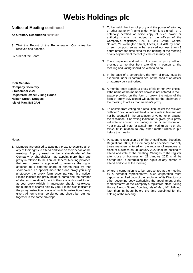### **Notice of Meeting continued**

#### **As Ordinary Resolutions** continued

8 That the Report of the Remuneration Committee be received and adopted.

By order of the Board

**Piotr Schabik Company Secretary 6 December 2021 Registered Office: Viking House Nelson Street, Douglas Isle of Man, IM1 2AH**

#### **Notes**

1. Members are entitled to appoint a proxy to exercise all or any of their rights to attend and vote on their behalf at the meeting. A proxy need not be a shareholder of the Company. A shareholder may appoint more than one proxy in relation to the Annual General Meeting provided that each proxy is appointed to exercise the rights attached to a different share or shares held by that shareholder. To appoint more than one proxy you may photocopy the proxy form accompanying this notice. Please indicate the proxy holder's name and the number of shares in relation to which they are authorised to act as your proxy (which, in aggregate, should not exceed the number of shares held by you). Please also indicate if the proxy instruction is one of multiple instructions being given. All forms must be signed and should be returned together in the same envelope.

- 2. To be valid, the form of proxy and the power of attorney or other authority (if any) under which it is signed - or a notarially certified or office copy of such power or authority - must be lodged at the offices of the Company's registrars, PXS 1, Link Group, Central Square, 29 Wellington Street, Leeds, LS1 4DL by hand, or sent by post, so as to be received not less than 48 hours before the time fixed for the holding of the meeting or any adjournment thereof (as the case may be).
- 3. The completion and return of a form of proxy will not preclude a member from attending in person at the meeting and voting should he wish to do so.
- 4. In the case of a corporation, the form of proxy must be executed under its common seal or the hand of an officer or attorney duly authorised.
- 5. A member may appoint a proxy of his or her own choice. If the name of the member's choice is not entered in the space provided on the form of proxy, the return of the form of proxy duly signed will authorise the chairman of the meeting to act as that member's proxy.
- 6. To abstain from voting on a resolution, select the relevant 'withheld' box. A vote withheld is not a vote in law and will not be counted in the calculation of votes for or against the resolution. If no voting indication is given, your proxy will vote or abstain from voting at his or her discretion. Your proxy will vote (or abstain from voting) as he or she thinks fit in relation to any other matter which is put before the meeting.
- 7. Pursuant to regulation 22 of the Uncertificated Securities Regulations 2005, the Company has specified that only those members entered on the register of members at close of business on 28 January 2022 shall be entitled to attend and vote at the meeting. Changes to the register after close of business on 28 January 2022 shall be disregarded in determining the rights of any person to attend and vote at the meeting.
- 8. Where a corporation is to be represented at the meeting by a personal representative, such corporation must deposit a certified copy of the resolution of its Directors or other governing body authorising the appointment of the representative at the Company's registered office: Viking House, Nelson Street, Douglas, Isle of Man, IM1 2AH not later than 48 hours before the time appointed for the holding of the meeting.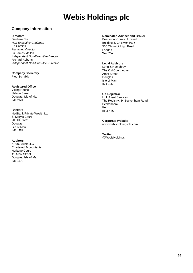## **Company Information**

#### **Directors**

Denham Eke *Non-Executive Chairman* Ed Comins *Managing Director* Sir James Mellon *Independent Non-Executive Director* Richard Roberts *Independent Non-Executive Director*

#### **Company Secretary** Piotr Schabik

#### **Registered Office**

Viking House Nelson Street Douglas, Isle of Man IM1 2AH

#### **Bankers**

NedBank Private Wealth Ltd St Mary's Court 20 Hill Street Douglas Isle of Man IM1 1EU

#### **Auditors**

KPMG Audit LLC Chartered Accountants Heritage Court 41 Athol Street Douglas, Isle of Man IM1 1LA

### **Nominated Adviser and Broker**

Beaumont Cornish Limited Building 3, Chiswick Park 566 Chiswick High Road London W4 5YA

#### **Legal Advisors**

Long & Humphrey The Old Courthouse Athol Street Douglas Isle of Man IM1 1LD

#### **UK Registrar**

Link Asset Services The Registry, 34 Beckenham Road **Beckenham** Kent BR3 4TU

**Corporate Website** www.webisholdingsplc.com

**Twitter** @WebisHoldings